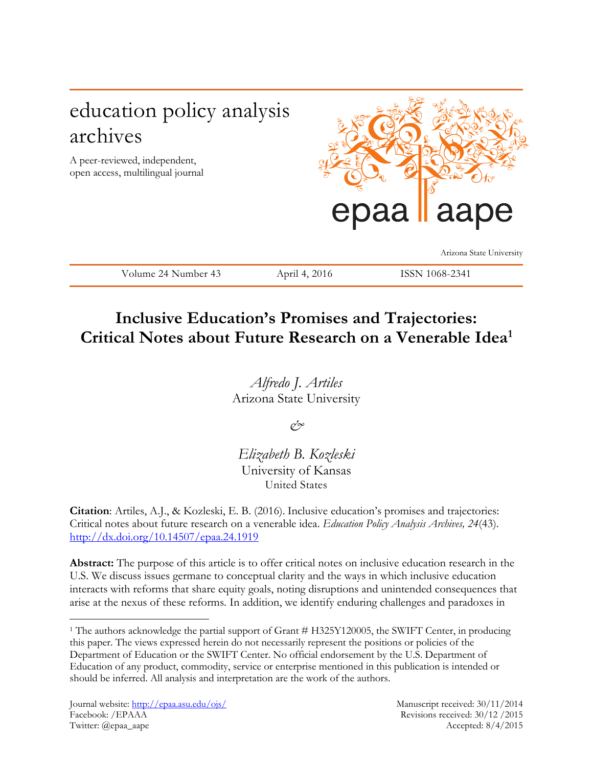# education policy analysis archives

A peer-reviewed, independent, open access, multilingual journal



Arizona State University

Volume 24 Number 43 April 4, 2016 ISSN 1068-2341

## **Inclusive Education's Promises and Trajectories: Critical Notes about Future Research on a Venerable Idea<sup>1</sup>**

*Alfredo J. Artiles* Arizona State University

*&* 

*Elizabeth B. Kozleski* University of Kansas United States

**Citation**: Artiles, A.J., & Kozleski, E. B. (2016). Inclusive education's promises and trajectories: Critical notes about future research on a venerable idea. *Education Policy Analysis Archives, 24*(43). <http://dx.doi.org/10.14507/epaa.24.1919>

**Abstract:** The purpose of this article is to offer critical notes on inclusive education research in the U.S. We discuss issues germane to conceptual clarity and the ways in which inclusive education interacts with reforms that share equity goals, noting disruptions and unintended consequences that arise at the nexus of these reforms. In addition, we identify enduring challenges and paradoxes in

 $\overline{a}$ 

<sup>1</sup> The authors acknowledge the partial support of Grant # H325Y120005, the SWIFT Center, in producing this paper. The views expressed herein do not necessarily represent the positions or policies of the Department of Education or the SWIFT Center. No official endorsement by the U.S. Department of Education of any product, commodity, service or enterprise mentioned in this publication is intended or should be inferred. All analysis and interpretation are the work of the authors.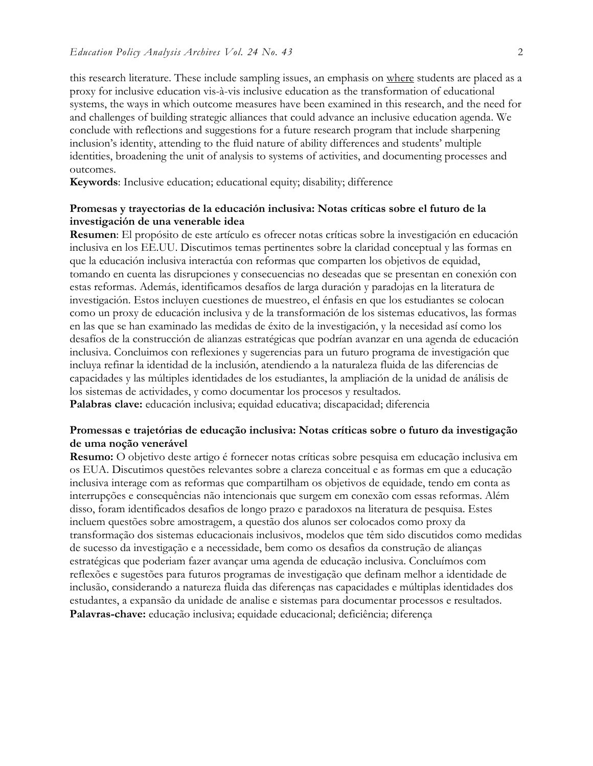this research literature. These include sampling issues, an emphasis on where students are placed as a proxy for inclusive education vis-à-vis inclusive education as the transformation of educational systems, the ways in which outcome measures have been examined in this research, and the need for and challenges of building strategic alliances that could advance an inclusive education agenda. We conclude with reflections and suggestions for a future research program that include sharpening inclusion's identity, attending to the fluid nature of ability differences and students' multiple identities, broadening the unit of analysis to systems of activities, and documenting processes and outcomes.

**Keywords**: Inclusive education; educational equity; disability; difference

#### **Promesas y trayectorias de la educación inclusiva: Notas críticas sobre el futuro de la investigación de una venerable idea**

**Resumen**: El propósito de este artículo es ofrecer notas críticas sobre la investigación en educación inclusiva en los EE.UU. Discutimos temas pertinentes sobre la claridad conceptual y las formas en que la educación inclusiva interactúa con reformas que comparten los objetivos de equidad, tomando en cuenta las disrupciones y consecuencias no deseadas que se presentan en conexión con estas reformas. Además, identificamos desafíos de larga duración y paradojas en la literatura de investigación. Estos incluyen cuestiones de muestreo, el énfasis en que los estudiantes se colocan como un proxy de educación inclusiva y de la transformación de los sistemas educativos, las formas en las que se han examinado las medidas de éxito de la investigación, y la necesidad así como los desafíos de la construcción de alianzas estratégicas que podrían avanzar en una agenda de educación inclusiva. Concluimos con reflexiones y sugerencias para un futuro programa de investigación que incluya refinar la identidad de la inclusión, atendiendo a la naturaleza fluida de las diferencias de capacidades y las múltiples identidades de los estudiantes, la ampliación de la unidad de análisis de los sistemas de actividades, y como documentar los procesos y resultados.

**Palabras clave:** educación inclusiva; equidad educativa; discapacidad; diferencia

### **Promessas e trajetórias de educação inclusiva: Notas críticas sobre o futuro da investigação de uma noção venerável**

**Resumo:** O objetivo deste artigo é fornecer notas críticas sobre pesquisa em educação inclusiva em os EUA. Discutimos questões relevantes sobre a clareza conceitual e as formas em que a educação inclusiva interage com as reformas que compartilham os objetivos de equidade, tendo em conta as interrupções e consequências não intencionais que surgem em conexão com essas reformas. Além disso, foram identificados desafios de longo prazo e paradoxos na literatura de pesquisa. Estes incluem questões sobre amostragem, a questão dos alunos ser colocados como proxy da transformação dos sistemas educacionais inclusivos, modelos que têm sido discutidos como medidas de sucesso da investigação e a necessidade, bem como os desafios da construção de alianças estratégicas que poderiam fazer avançar uma agenda de educação inclusiva. Concluímos com reflexões e sugestões para futuros programas de investigação que definam melhor a identidade de inclusão, considerando a natureza fluida das diferenças nas capacidades e múltiplas identidades dos estudantes, a expansão da unidade de analise e sistemas para documentar processos e resultados. **Palavras-chave:** educação inclusiva; equidade educacional; deficiência; diferença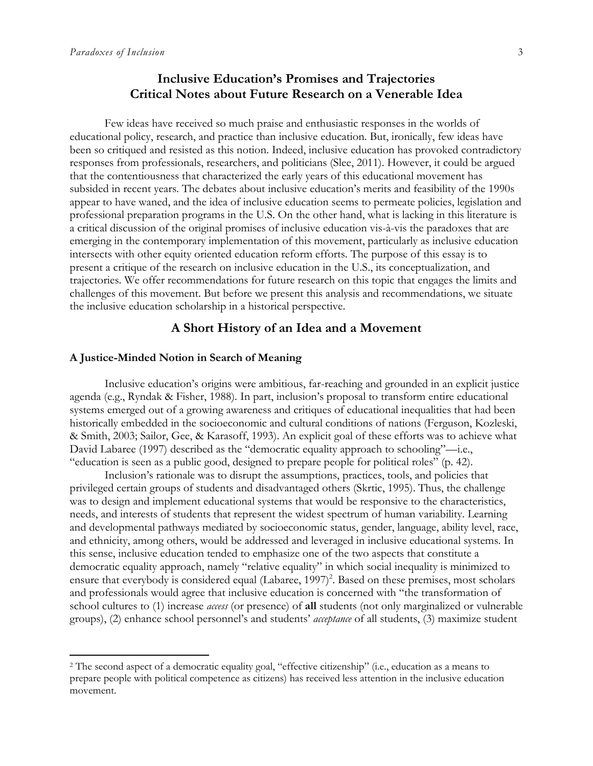l

## **Inclusive Education's Promises and Trajectories Critical Notes about Future Research on a Venerable Idea**

Few ideas have received so much praise and enthusiastic responses in the worlds of educational policy, research, and practice than inclusive education. But, ironically, few ideas have been so critiqued and resisted as this notion. Indeed, inclusive education has provoked contradictory responses from professionals, researchers, and politicians (Slee, 2011). However, it could be argued that the contentiousness that characterized the early years of this educational movement has subsided in recent years. The debates about inclusive education's merits and feasibility of the 1990s appear to have waned, and the idea of inclusive education seems to permeate policies, legislation and professional preparation programs in the U.S. On the other hand, what is lacking in this literature is a critical discussion of the original promises of inclusive education vis-à-vis the paradoxes that are emerging in the contemporary implementation of this movement, particularly as inclusive education intersects with other equity oriented education reform efforts. The purpose of this essay is to present a critique of the research on inclusive education in the U.S., its conceptualization, and trajectories. We offer recommendations for future research on this topic that engages the limits and challenges of this movement. But before we present this analysis and recommendations, we situate the inclusive education scholarship in a historical perspective.

#### **A Short History of an Idea and a Movement**

#### **A Justice-Minded Notion in Search of Meaning**

Inclusive education's origins were ambitious, far-reaching and grounded in an explicit justice agenda (e.g., Ryndak & Fisher, 1988). In part, inclusion's proposal to transform entire educational systems emerged out of a growing awareness and critiques of educational inequalities that had been historically embedded in the socioeconomic and cultural conditions of nations (Ferguson, Kozleski, & Smith, 2003; Sailor, Gee, & Karasoff, 1993). An explicit goal of these efforts was to achieve what David Labaree (1997) described as the "democratic equality approach to schooling"—i.e., "education is seen as a public good, designed to prepare people for political roles" (p. 42).

Inclusion's rationale was to disrupt the assumptions, practices, tools, and policies that privileged certain groups of students and disadvantaged others (Skrtic, 1995). Thus, the challenge was to design and implement educational systems that would be responsive to the characteristics, needs, and interests of students that represent the widest spectrum of human variability. Learning and developmental pathways mediated by socioeconomic status, gender, language, ability level, race, and ethnicity, among others, would be addressed and leveraged in inclusive educational systems. In this sense, inclusive education tended to emphasize one of the two aspects that constitute a democratic equality approach, namely "relative equality" in which social inequality is minimized to ensure that everybody is considered equal (Labaree, 1997)<sup>2</sup>. Based on these premises, most scholars and professionals would agree that inclusive education is concerned with "the transformation of school cultures to (1) increase *access* (or presence) of **all** students (not only marginalized or vulnerable groups), (2) enhance school personnel's and students' *acceptance* of all students, (3) maximize student

<sup>2</sup> The second aspect of a democratic equality goal, "effective citizenship" (i.e., education as a means to prepare people with political competence as citizens) has received less attention in the inclusive education movement.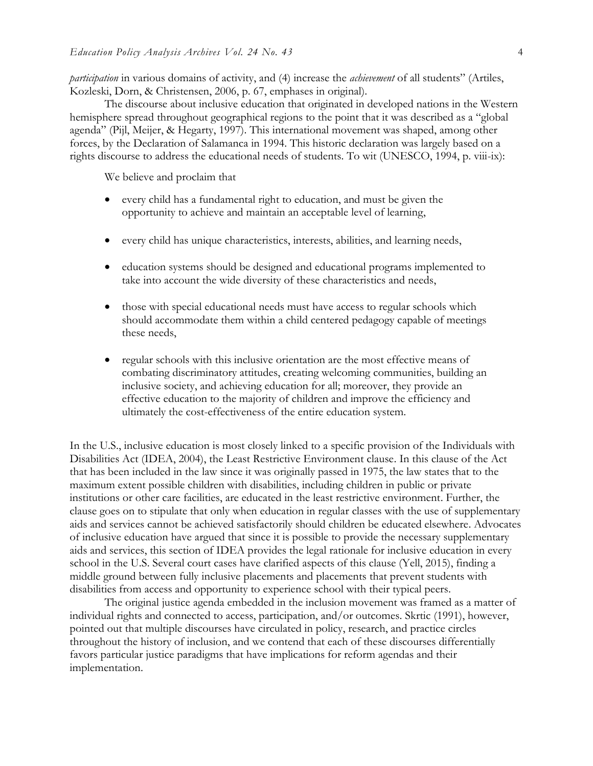*participation* in various domains of activity, and (4) increase the *achievement* of all students" (Artiles, Kozleski, Dorn, & Christensen, 2006, p. 67, emphases in original).

The discourse about inclusive education that originated in developed nations in the Western hemisphere spread throughout geographical regions to the point that it was described as a "global agenda" (Pijl, Meijer, & Hegarty, 1997). This international movement was shaped, among other forces, by the Declaration of Salamanca in 1994. This historic declaration was largely based on a rights discourse to address the educational needs of students. To wit (UNESCO, 1994, p. viii-ix):

We believe and proclaim that

- every child has a fundamental right to education, and must be given the opportunity to achieve and maintain an acceptable level of learning,
- every child has unique characteristics, interests, abilities, and learning needs,
- education systems should be designed and educational programs implemented to take into account the wide diversity of these characteristics and needs,
- those with special educational needs must have access to regular schools which should accommodate them within a child centered pedagogy capable of meetings these needs,
- regular schools with this inclusive orientation are the most effective means of combating discriminatory attitudes, creating welcoming communities, building an inclusive society, and achieving education for all; moreover, they provide an effective education to the majority of children and improve the efficiency and ultimately the cost-effectiveness of the entire education system.

In the U.S., inclusive education is most closely linked to a specific provision of the Individuals with Disabilities Act (IDEA, 2004), the Least Restrictive Environment clause. In this clause of the Act that has been included in the law since it was originally passed in 1975, the law states that to the maximum extent possible children with disabilities, including children in public or private institutions or other care facilities, are educated in the least restrictive environment. Further, the clause goes on to stipulate that only when education in regular classes with the use of supplementary aids and services cannot be achieved satisfactorily should children be educated elsewhere. Advocates of inclusive education have argued that since it is possible to provide the necessary supplementary aids and services, this section of IDEA provides the legal rationale for inclusive education in every school in the U.S. Several court cases have clarified aspects of this clause (Yell, 2015), finding a middle ground between fully inclusive placements and placements that prevent students with disabilities from access and opportunity to experience school with their typical peers.

The original justice agenda embedded in the inclusion movement was framed as a matter of individual rights and connected to access, participation, and/or outcomes. Skrtic (1991), however, pointed out that multiple discourses have circulated in policy, research, and practice circles throughout the history of inclusion, and we contend that each of these discourses differentially favors particular justice paradigms that have implications for reform agendas and their implementation.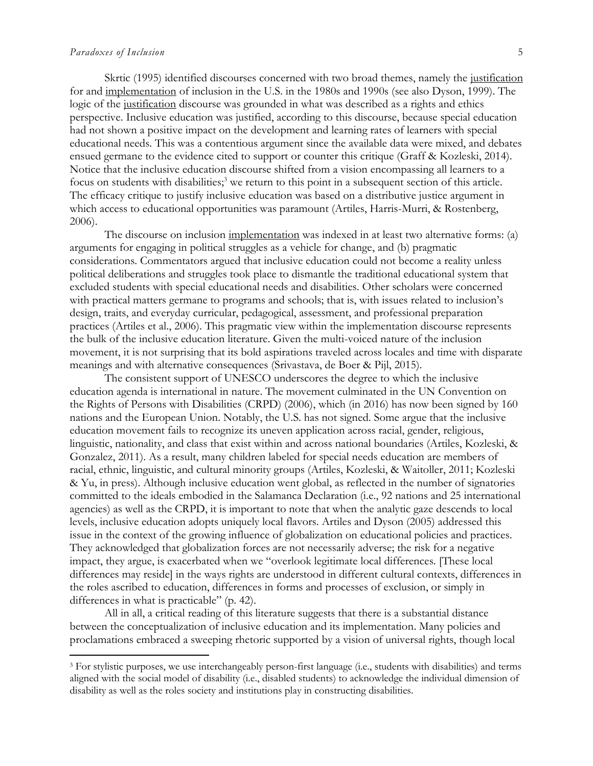#### *Paradoxes of Inclusion* 5

l

Skrtic (1995) identified discourses concerned with two broad themes, namely the justification for and implementation of inclusion in the U.S. in the 1980s and 1990s (see also Dyson, 1999). The logic of the justification discourse was grounded in what was described as a rights and ethics perspective. Inclusive education was justified, according to this discourse, because special education had not shown a positive impact on the development and learning rates of learners with special educational needs. This was a contentious argument since the available data were mixed, and debates ensued germane to the evidence cited to support or counter this critique (Graff & Kozleski, 2014). Notice that the inclusive education discourse shifted from a vision encompassing all learners to a focus on students with disabilities;<sup>3</sup> we return to this point in a subsequent section of this article. The efficacy critique to justify inclusive education was based on a distributive justice argument in which access to educational opportunities was paramount (Artiles, Harris-Murri, & Rostenberg, 2006).

The discourse on inclusion implementation was indexed in at least two alternative forms: (a) arguments for engaging in political struggles as a vehicle for change, and (b) pragmatic considerations. Commentators argued that inclusive education could not become a reality unless political deliberations and struggles took place to dismantle the traditional educational system that excluded students with special educational needs and disabilities. Other scholars were concerned with practical matters germane to programs and schools; that is, with issues related to inclusion's design, traits, and everyday curricular, pedagogical, assessment, and professional preparation practices (Artiles et al., 2006). This pragmatic view within the implementation discourse represents the bulk of the inclusive education literature. Given the multi-voiced nature of the inclusion movement, it is not surprising that its bold aspirations traveled across locales and time with disparate meanings and with alternative consequences (Srivastava, de Boer & Pijl, 2015).

The consistent support of UNESCO underscores the degree to which the inclusive education agenda is international in nature. The movement culminated in the UN Convention on the Rights of Persons with Disabilities (CRPD) (2006), which (in 2016) has now been signed by 160 nations and the European Union. Notably, the U.S. has not signed. Some argue that the inclusive education movement fails to recognize its uneven application across racial, gender, religious, linguistic, nationality, and class that exist within and across national boundaries (Artiles, Kozleski, & Gonzalez, 2011). As a result, many children labeled for special needs education are members of racial, ethnic, linguistic, and cultural minority groups (Artiles, Kozleski, & Waitoller, 2011; Kozleski & Yu, in press). Although inclusive education went global, as reflected in the number of signatories committed to the ideals embodied in the Salamanca Declaration (i.e., 92 nations and 25 international agencies) as well as the CRPD, it is important to note that when the analytic gaze descends to local levels, inclusive education adopts uniquely local flavors. Artiles and Dyson (2005) addressed this issue in the context of the growing influence of globalization on educational policies and practices. They acknowledged that globalization forces are not necessarily adverse; the risk for a negative impact, they argue, is exacerbated when we "overlook legitimate local differences. [These local differences may reside] in the ways rights are understood in different cultural contexts, differences in the roles ascribed to education, differences in forms and processes of exclusion, or simply in differences in what is practicable" (p. 42).

All in all, a critical reading of this literature suggests that there is a substantial distance between the conceptualization of inclusive education and its implementation. Many policies and proclamations embraced a sweeping rhetoric supported by a vision of universal rights, though local

<sup>3</sup> For stylistic purposes, we use interchangeably person-first language (i.e., students with disabilities) and terms aligned with the social model of disability (i.e., disabled students) to acknowledge the individual dimension of disability as well as the roles society and institutions play in constructing disabilities.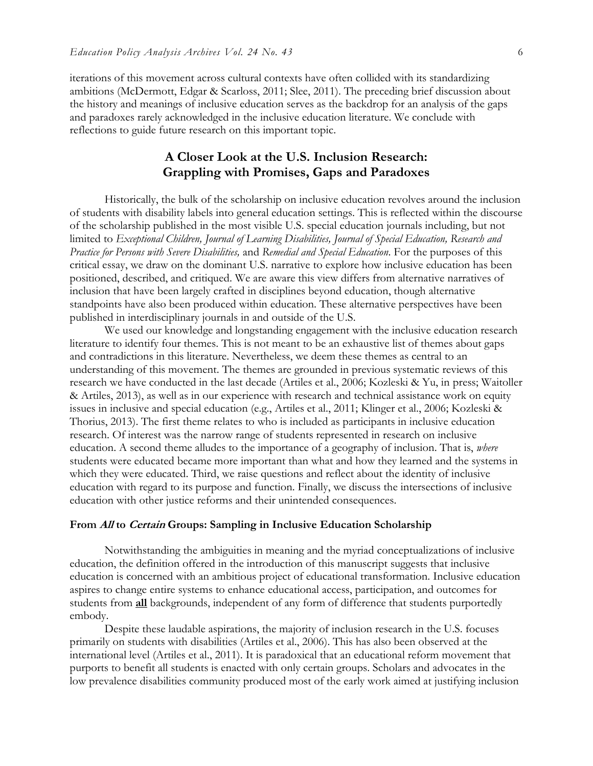iterations of this movement across cultural contexts have often collided with its standardizing ambitions (McDermott, Edgar & Scarloss, 2011; Slee, 2011). The preceding brief discussion about the history and meanings of inclusive education serves as the backdrop for an analysis of the gaps and paradoxes rarely acknowledged in the inclusive education literature. We conclude with reflections to guide future research on this important topic.

## **A Closer Look at the U.S. Inclusion Research: Grappling with Promises, Gaps and Paradoxes**

Historically, the bulk of the scholarship on inclusive education revolves around the inclusion of students with disability labels into general education settings. This is reflected within the discourse of the scholarship published in the most visible U.S. special education journals including, but not limited to *Exceptional Children, Journal of Learning Disabilities, Journal of Special Education, Research and Practice for Persons with Severe Disabilities,* and *Remedial and Special Education*. For the purposes of this critical essay, we draw on the dominant U.S. narrative to explore how inclusive education has been positioned, described, and critiqued. We are aware this view differs from alternative narratives of inclusion that have been largely crafted in disciplines beyond education, though alternative standpoints have also been produced within education. These alternative perspectives have been published in interdisciplinary journals in and outside of the U.S.

We used our knowledge and longstanding engagement with the inclusive education research literature to identify four themes. This is not meant to be an exhaustive list of themes about gaps and contradictions in this literature. Nevertheless, we deem these themes as central to an understanding of this movement. The themes are grounded in previous systematic reviews of this research we have conducted in the last decade (Artiles et al., 2006; Kozleski & Yu, in press; Waitoller & Artiles, 2013), as well as in our experience with research and technical assistance work on equity issues in inclusive and special education (e.g., Artiles et al., 2011; Klinger et al., 2006; Kozleski & Thorius, 2013). The first theme relates to who is included as participants in inclusive education research. Of interest was the narrow range of students represented in research on inclusive education. A second theme alludes to the importance of a geography of inclusion. That is, *where* students were educated became more important than what and how they learned and the systems in which they were educated. Third, we raise questions and reflect about the identity of inclusive education with regard to its purpose and function. Finally, we discuss the intersections of inclusive education with other justice reforms and their unintended consequences.

#### **From All to Certain Groups: Sampling in Inclusive Education Scholarship**

Notwithstanding the ambiguities in meaning and the myriad conceptualizations of inclusive education, the definition offered in the introduction of this manuscript suggests that inclusive education is concerned with an ambitious project of educational transformation. Inclusive education aspires to change entire systems to enhance educational access, participation, and outcomes for students from **all** backgrounds, independent of any form of difference that students purportedly embody.

Despite these laudable aspirations, the majority of inclusion research in the U.S. focuses primarily on students with disabilities (Artiles et al., 2006). This has also been observed at the international level (Artiles et al., 2011). It is paradoxical that an educational reform movement that purports to benefit all students is enacted with only certain groups. Scholars and advocates in the low prevalence disabilities community produced most of the early work aimed at justifying inclusion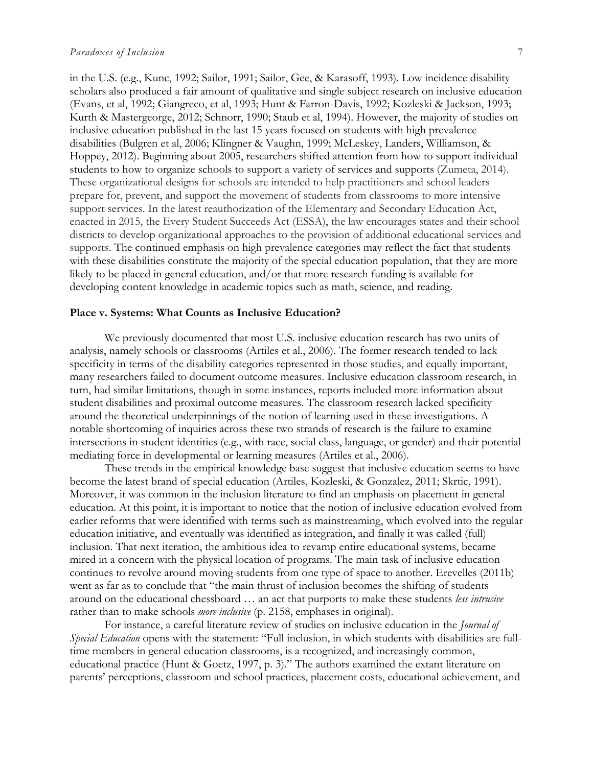in the U.S. (e.g., Kunc, 1992; Sailor, 1991; Sailor, Gee, & Karasoff, 1993). Low incidence disability scholars also produced a fair amount of qualitative and single subject research on inclusive education (Evans, et al, 1992; Giangreco, et al, 1993; Hunt & Farron-Davis, 1992; Kozleski & Jackson, 1993; Kurth & Mastergeorge, 2012; Schnorr, 1990; Staub et al, 1994). However, the majority of studies on inclusive education published in the last 15 years focused on students with high prevalence disabilities (Bulgren et al, 2006; Klingner & Vaughn, 1999; McLeskey, Landers, Williamson, & Hoppey, 2012). Beginning about 2005, researchers shifted attention from how to support individual students to how to organize schools to support a variety of services and supports (Zumeta, 2014). These organizational designs for schools are intended to help practitioners and school leaders prepare for, prevent, and support the movement of students from classrooms to more intensive support services. In the latest reauthorization of the Elementary and Secondary Education Act, enacted in 2015, the Every Student Succeeds Act (ESSA), the law encourages states and their school districts to develop organizational approaches to the provision of additional educational services and supports. The continued emphasis on high prevalence categories may reflect the fact that students with these disabilities constitute the majority of the special education population, that they are more likely to be placed in general education, and/or that more research funding is available for developing content knowledge in academic topics such as math, science, and reading.

#### **Place v. Systems: What Counts as Inclusive Education?**

We previously documented that most U.S. inclusive education research has two units of analysis, namely schools or classrooms (Artiles et al., 2006). The former research tended to lack specificity in terms of the disability categories represented in those studies, and equally important, many researchers failed to document outcome measures. Inclusive education classroom research, in turn, had similar limitations, though in some instances, reports included more information about student disabilities and proximal outcome measures. The classroom research lacked specificity around the theoretical underpinnings of the notion of learning used in these investigations. A notable shortcoming of inquiries across these two strands of research is the failure to examine intersections in student identities (e.g., with race, social class, language, or gender) and their potential mediating force in developmental or learning measures (Artiles et al., 2006).

These trends in the empirical knowledge base suggest that inclusive education seems to have become the latest brand of special education (Artiles, Kozleski, & Gonzalez, 2011; Skrtic, 1991). Moreover, it was common in the inclusion literature to find an emphasis on placement in general education. At this point, it is important to notice that the notion of inclusive education evolved from earlier reforms that were identified with terms such as mainstreaming, which evolved into the regular education initiative, and eventually was identified as integration, and finally it was called (full) inclusion. That next iteration, the ambitious idea to revamp entire educational systems, became mired in a concern with the physical location of programs. The main task of inclusive education continues to revolve around moving students from one type of space to another. Erevelles (2011b) went as far as to conclude that "the main thrust of inclusion becomes the shifting of students around on the educational chessboard … an act that purports to make these students *less intrusive* rather than to make schools *more inclusive* (p. 2158, emphases in original).

For instance, a careful literature review of studies on inclusive education in the *Journal of Special Education* opens with the statement: "Full inclusion, in which students with disabilities are fulltime members in general education classrooms, is a recognized, and increasingly common, educational practice (Hunt & Goetz, 1997, p. 3)." The authors examined the extant literature on parents' perceptions, classroom and school practices, placement costs, educational achievement, and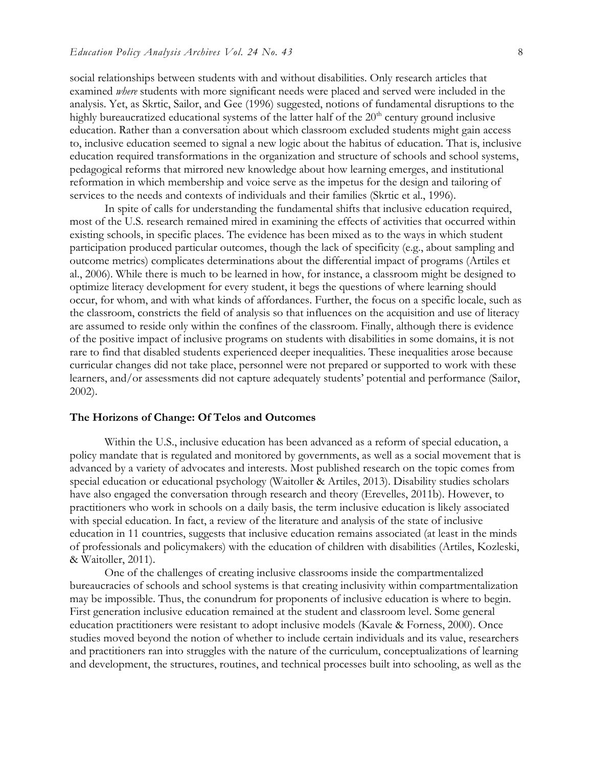social relationships between students with and without disabilities. Only research articles that examined *where* students with more significant needs were placed and served were included in the analysis. Yet, as Skrtic, Sailor, and Gee (1996) suggested, notions of fundamental disruptions to the highly bureaucratized educational systems of the latter half of the  $20<sup>th</sup>$  century ground inclusive education. Rather than a conversation about which classroom excluded students might gain access to, inclusive education seemed to signal a new logic about the habitus of education. That is, inclusive education required transformations in the organization and structure of schools and school systems, pedagogical reforms that mirrored new knowledge about how learning emerges, and institutional reformation in which membership and voice serve as the impetus for the design and tailoring of services to the needs and contexts of individuals and their families (Skrtic et al., 1996).

In spite of calls for understanding the fundamental shifts that inclusive education required, most of the U.S. research remained mired in examining the effects of activities that occurred within existing schools, in specific places. The evidence has been mixed as to the ways in which student participation produced particular outcomes, though the lack of specificity (e.g., about sampling and outcome metrics) complicates determinations about the differential impact of programs (Artiles et al., 2006). While there is much to be learned in how, for instance, a classroom might be designed to optimize literacy development for every student, it begs the questions of where learning should occur, for whom, and with what kinds of affordances. Further, the focus on a specific locale, such as the classroom, constricts the field of analysis so that influences on the acquisition and use of literacy are assumed to reside only within the confines of the classroom. Finally, although there is evidence of the positive impact of inclusive programs on students with disabilities in some domains, it is not rare to find that disabled students experienced deeper inequalities. These inequalities arose because curricular changes did not take place, personnel were not prepared or supported to work with these learners, and/or assessments did not capture adequately students' potential and performance (Sailor, 2002).

#### **The Horizons of Change: Of Telos and Outcomes**

Within the U.S., inclusive education has been advanced as a reform of special education, a policy mandate that is regulated and monitored by governments, as well as a social movement that is advanced by a variety of advocates and interests. Most published research on the topic comes from special education or educational psychology (Waitoller & Artiles, 2013). Disability studies scholars have also engaged the conversation through research and theory (Erevelles, 2011b). However, to practitioners who work in schools on a daily basis, the term inclusive education is likely associated with special education. In fact, a review of the literature and analysis of the state of inclusive education in 11 countries, suggests that inclusive education remains associated (at least in the minds of professionals and policymakers) with the education of children with disabilities (Artiles, Kozleski, & Waitoller, 2011).

One of the challenges of creating inclusive classrooms inside the compartmentalized bureaucracies of schools and school systems is that creating inclusivity within compartmentalization may be impossible. Thus, the conundrum for proponents of inclusive education is where to begin. First generation inclusive education remained at the student and classroom level. Some general education practitioners were resistant to adopt inclusive models (Kavale & Forness, 2000). Once studies moved beyond the notion of whether to include certain individuals and its value, researchers and practitioners ran into struggles with the nature of the curriculum, conceptualizations of learning and development, the structures, routines, and technical processes built into schooling, as well as the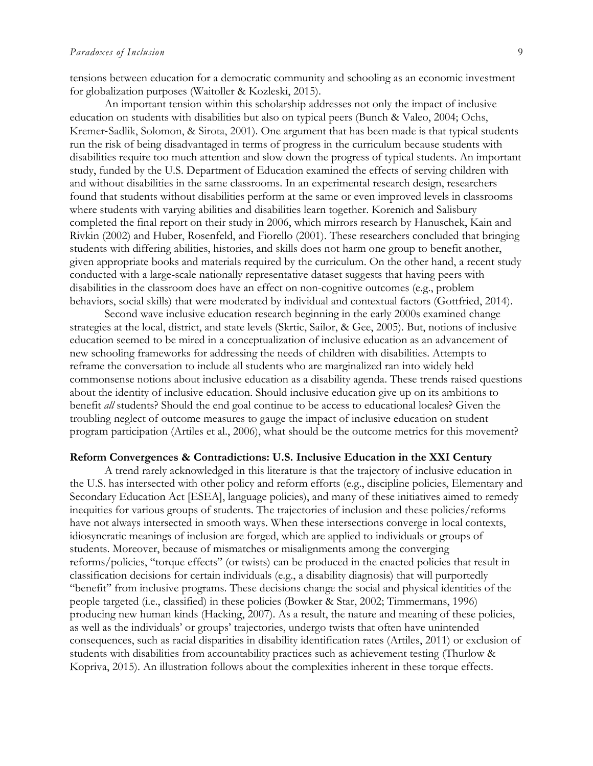tensions between education for a democratic community and schooling as an economic investment for globalization purposes (Waitoller & Kozleski, 2015).

An important tension within this scholarship addresses not only the impact of inclusive education on students with disabilities but also on typical peers (Bunch & Valeo, 2004; Ochs, Kremer-Sadlik, Solomon, & Sirota, 2001). One argument that has been made is that typical students run the risk of being disadvantaged in terms of progress in the curriculum because students with disabilities require too much attention and slow down the progress of typical students. An important study, funded by the U.S. Department of Education examined the effects of serving children with and without disabilities in the same classrooms. In an experimental research design, researchers found that students without disabilities perform at the same or even improved levels in classrooms where students with varying abilities and disabilities learn together. Korenich and Salisbury completed the final report on their study in 2006, which mirrors research by Hanuschek, Kain and Rivkin (2002) and Huber, Rosenfeld, and Fiorello (2001). These researchers concluded that bringing students with differing abilities, histories, and skills does not harm one group to benefit another, given appropriate books and materials required by the curriculum. On the other hand, a recent study conducted with a large-scale nationally representative dataset suggests that having peers with disabilities in the classroom does have an effect on non-cognitive outcomes (e.g., problem behaviors, social skills) that were moderated by individual and contextual factors (Gottfried, 2014).

Second wave inclusive education research beginning in the early 2000s examined change strategies at the local, district, and state levels (Skrtic, Sailor, & Gee, 2005). But, notions of inclusive education seemed to be mired in a conceptualization of inclusive education as an advancement of new schooling frameworks for addressing the needs of children with disabilities. Attempts to reframe the conversation to include all students who are marginalized ran into widely held commonsense notions about inclusive education as a disability agenda. These trends raised questions about the identity of inclusive education. Should inclusive education give up on its ambitions to benefit *all* students? Should the end goal continue to be access to educational locales? Given the troubling neglect of outcome measures to gauge the impact of inclusive education on student program participation (Artiles et al., 2006), what should be the outcome metrics for this movement?

#### **Reform Convergences & Contradictions: U.S. Inclusive Education in the XXI Century**

A trend rarely acknowledged in this literature is that the trajectory of inclusive education in the U.S. has intersected with other policy and reform efforts (e.g., discipline policies, Elementary and Secondary Education Act [ESEA], language policies), and many of these initiatives aimed to remedy inequities for various groups of students. The trajectories of inclusion and these policies/reforms have not always intersected in smooth ways. When these intersections converge in local contexts, idiosyncratic meanings of inclusion are forged, which are applied to individuals or groups of students. Moreover, because of mismatches or misalignments among the converging reforms/policies, "torque effects" (or twists) can be produced in the enacted policies that result in classification decisions for certain individuals (e.g., a disability diagnosis) that will purportedly "benefit" from inclusive programs. These decisions change the social and physical identities of the people targeted (i.e., classified) in these policies (Bowker & Star, 2002; Timmermans, 1996) producing new human kinds (Hacking, 2007). As a result, the nature and meaning of these policies, as well as the individuals' or groups' trajectories, undergo twists that often have unintended consequences, such as racial disparities in disability identification rates (Artiles, 2011) or exclusion of students with disabilities from accountability practices such as achievement testing (Thurlow & Kopriva, 2015). An illustration follows about the complexities inherent in these torque effects.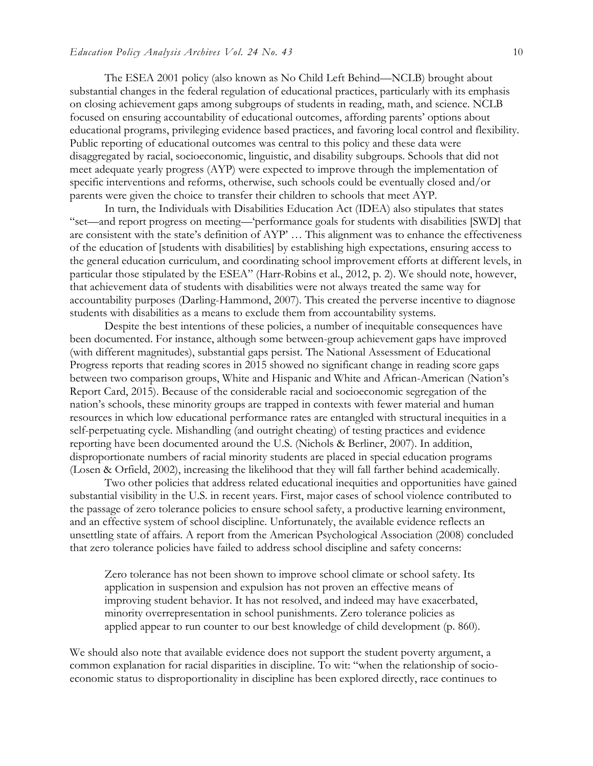The ESEA 2001 policy (also known as No Child Left Behind—NCLB) brought about substantial changes in the federal regulation of educational practices, particularly with its emphasis on closing achievement gaps among subgroups of students in reading, math, and science. NCLB focused on ensuring accountability of educational outcomes, affording parents' options about educational programs, privileging evidence based practices, and favoring local control and flexibility. Public reporting of educational outcomes was central to this policy and these data were disaggregated by racial, socioeconomic, linguistic, and disability subgroups. Schools that did not meet adequate yearly progress (AYP) were expected to improve through the implementation of specific interventions and reforms, otherwise, such schools could be eventually closed and/or parents were given the choice to transfer their children to schools that meet AYP.

In turn, the Individuals with Disabilities Education Act (IDEA) also stipulates that states "set—and report progress on meeting—'performance goals for students with disabilities [SWD] that are consistent with the state's definition of AYP' … This alignment was to enhance the effectiveness of the education of [students with disabilities] by establishing high expectations, ensuring access to the general education curriculum, and coordinating school improvement efforts at different levels, in particular those stipulated by the ESEA" (Harr-Robins et al., 2012, p. 2). We should note, however, that achievement data of students with disabilities were not always treated the same way for accountability purposes (Darling-Hammond, 2007). This created the perverse incentive to diagnose students with disabilities as a means to exclude them from accountability systems.

Despite the best intentions of these policies, a number of inequitable consequences have been documented. For instance, although some between-group achievement gaps have improved (with different magnitudes), substantial gaps persist. The National Assessment of Educational Progress reports that reading scores in 2015 showed no significant change in reading score gaps between two comparison groups, White and Hispanic and White and African-American (Nation's Report Card, 2015). Because of the considerable racial and socioeconomic segregation of the nation's schools, these minority groups are trapped in contexts with fewer material and human resources in which low educational performance rates are entangled with structural inequities in a self-perpetuating cycle. Mishandling (and outright cheating) of testing practices and evidence reporting have been documented around the U.S. (Nichols & Berliner, 2007). In addition, disproportionate numbers of racial minority students are placed in special education programs (Losen & Orfield, 2002), increasing the likelihood that they will fall farther behind academically.

Two other policies that address related educational inequities and opportunities have gained substantial visibility in the U.S. in recent years. First, major cases of school violence contributed to the passage of zero tolerance policies to ensure school safety, a productive learning environment, and an effective system of school discipline. Unfortunately, the available evidence reflects an unsettling state of affairs. A report from the American Psychological Association (2008) concluded that zero tolerance policies have failed to address school discipline and safety concerns:

Zero tolerance has not been shown to improve school climate or school safety. Its application in suspension and expulsion has not proven an effective means of improving student behavior. It has not resolved, and indeed may have exacerbated, minority overrepresentation in school punishments. Zero tolerance policies as applied appear to run counter to our best knowledge of child development (p. 860).

We should also note that available evidence does not support the student poverty argument, a common explanation for racial disparities in discipline. To wit: "when the relationship of socioeconomic status to disproportionality in discipline has been explored directly, race continues to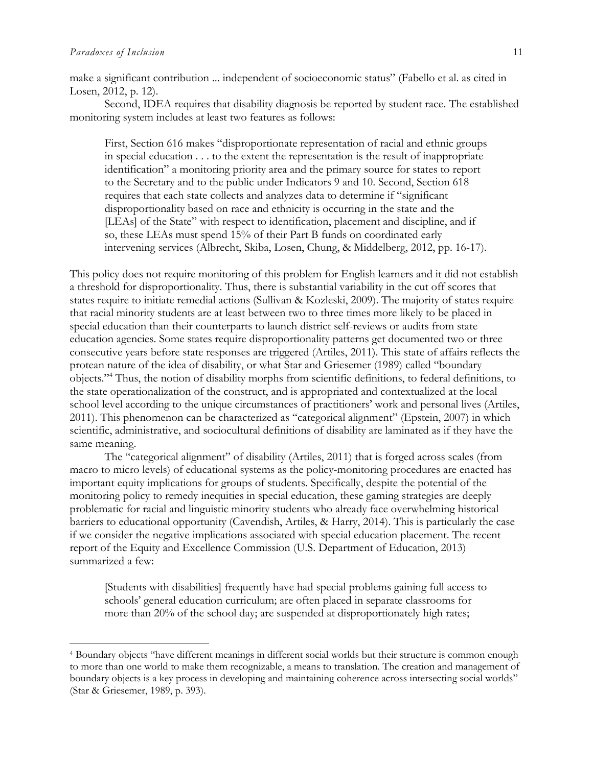$\overline{\phantom{a}}$ 

make a significant contribution ... independent of socioeconomic status" (Fabello et al. as cited in Losen, 2012, p. 12).

Second, IDEA requires that disability diagnosis be reported by student race. The established monitoring system includes at least two features as follows:

First, Section 616 makes "disproportionate representation of racial and ethnic groups in special education . . . to the extent the representation is the result of inappropriate identification" a monitoring priority area and the primary source for states to report to the Secretary and to the public under Indicators 9 and 10. Second, Section 618 requires that each state collects and analyzes data to determine if "significant disproportionality based on race and ethnicity is occurring in the state and the [LEAs] of the State" with respect to identification, placement and discipline, and if so, these LEAs must spend 15% of their Part B funds on coordinated early intervening services (Albrecht, Skiba, Losen, Chung, & Middelberg, 2012, pp. 16-17).

This policy does not require monitoring of this problem for English learners and it did not establish a threshold for disproportionality. Thus, there is substantial variability in the cut off scores that states require to initiate remedial actions (Sullivan & Kozleski, 2009). The majority of states require that racial minority students are at least between two to three times more likely to be placed in special education than their counterparts to launch district self-reviews or audits from state education agencies. Some states require disproportionality patterns get documented two or three consecutive years before state responses are triggered (Artiles, 2011). This state of affairs reflects the protean nature of the idea of disability, or what Star and Griesemer (1989) called "boundary objects."<sup>4</sup> Thus, the notion of disability morphs from scientific definitions, to federal definitions, to the state operationalization of the construct, and is appropriated and contextualized at the local school level according to the unique circumstances of practitioners' work and personal lives (Artiles, 2011). This phenomenon can be characterized as "categorical alignment" (Epstein, 2007) in which scientific, administrative, and sociocultural definitions of disability are laminated as if they have the same meaning.

The "categorical alignment" of disability (Artiles, 2011) that is forged across scales (from macro to micro levels) of educational systems as the policy-monitoring procedures are enacted has important equity implications for groups of students. Specifically, despite the potential of the monitoring policy to remedy inequities in special education, these gaming strategies are deeply problematic for racial and linguistic minority students who already face overwhelming historical barriers to educational opportunity (Cavendish, Artiles, & Harry, 2014). This is particularly the case if we consider the negative implications associated with special education placement. The recent report of the Equity and Excellence Commission (U.S. Department of Education, 2013) summarized a few:

[Students with disabilities] frequently have had special problems gaining full access to schools' general education curriculum; are often placed in separate classrooms for more than 20% of the school day; are suspended at disproportionately high rates;

<sup>4</sup> Boundary objects "have different meanings in different social worlds but their structure is common enough to more than one world to make them recognizable, a means to translation. The creation and management of boundary objects is a key process in developing and maintaining coherence across intersecting social worlds" (Star & Griesemer, 1989, p. 393).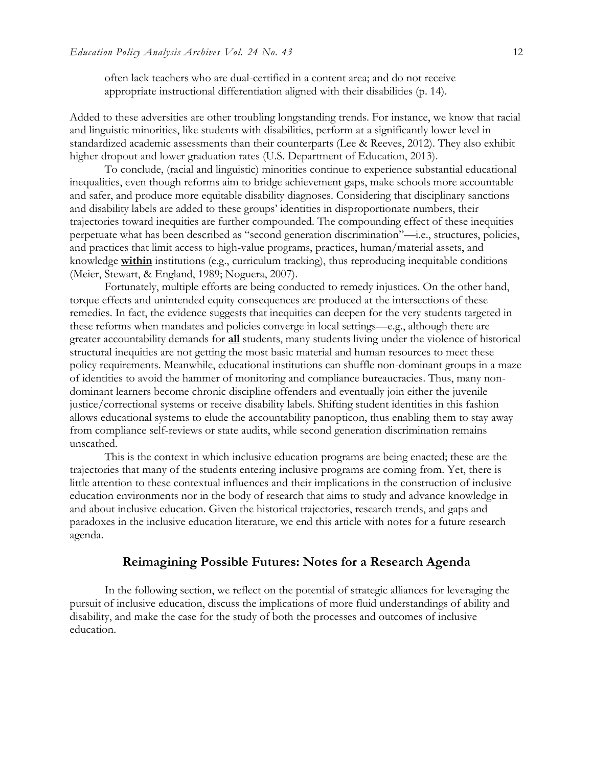often lack teachers who are dual-certified in a content area; and do not receive appropriate instructional differentiation aligned with their disabilities (p. 14).

Added to these adversities are other troubling longstanding trends. For instance, we know that racial and linguistic minorities, like students with disabilities, perform at a significantly lower level in standardized academic assessments than their counterparts (Lee & Reeves, 2012). They also exhibit higher dropout and lower graduation rates (U.S. Department of Education, 2013).

To conclude, (racial and linguistic) minorities continue to experience substantial educational inequalities, even though reforms aim to bridge achievement gaps, make schools more accountable and safer, and produce more equitable disability diagnoses. Considering that disciplinary sanctions and disability labels are added to these groups' identities in disproportionate numbers, their trajectories toward inequities are further compounded. The compounding effect of these inequities perpetuate what has been described as "second generation discrimination"—i.e., structures, policies, and practices that limit access to high-value programs, practices, human/material assets, and knowledge **within** institutions (e.g., curriculum tracking), thus reproducing inequitable conditions (Meier, Stewart, & England, 1989; Noguera, 2007).

Fortunately, multiple efforts are being conducted to remedy injustices. On the other hand, torque effects and unintended equity consequences are produced at the intersections of these remedies. In fact, the evidence suggests that inequities can deepen for the very students targeted in these reforms when mandates and policies converge in local settings—e.g., although there are greater accountability demands for **all** students, many students living under the violence of historical structural inequities are not getting the most basic material and human resources to meet these policy requirements. Meanwhile, educational institutions can shuffle non-dominant groups in a maze of identities to avoid the hammer of monitoring and compliance bureaucracies. Thus, many nondominant learners become chronic discipline offenders and eventually join either the juvenile justice/correctional systems or receive disability labels. Shifting student identities in this fashion allows educational systems to elude the accountability panopticon, thus enabling them to stay away from compliance self-reviews or state audits, while second generation discrimination remains unscathed.

This is the context in which inclusive education programs are being enacted; these are the trajectories that many of the students entering inclusive programs are coming from. Yet, there is little attention to these contextual influences and their implications in the construction of inclusive education environments nor in the body of research that aims to study and advance knowledge in and about inclusive education. Given the historical trajectories, research trends, and gaps and paradoxes in the inclusive education literature, we end this article with notes for a future research agenda.

#### **Reimagining Possible Futures: Notes for a Research Agenda**

In the following section, we reflect on the potential of strategic alliances for leveraging the pursuit of inclusive education, discuss the implications of more fluid understandings of ability and disability, and make the case for the study of both the processes and outcomes of inclusive education.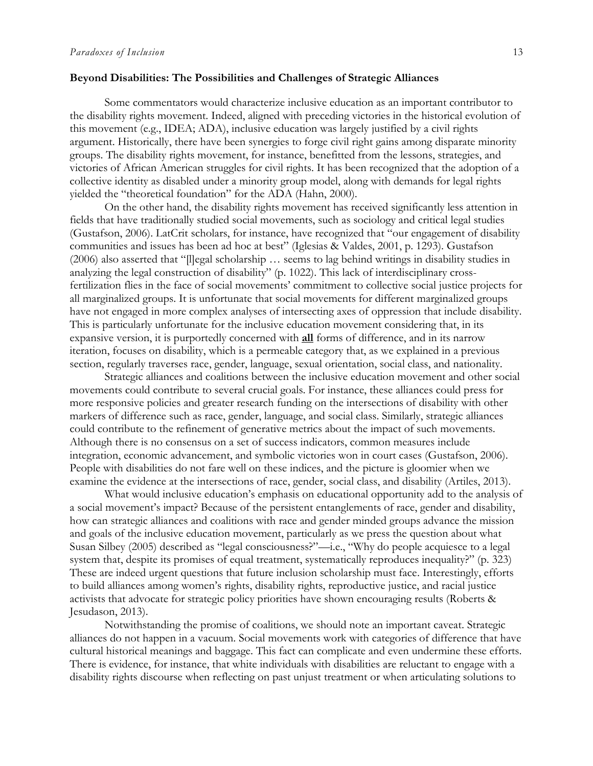#### **Beyond Disabilities: The Possibilities and Challenges of Strategic Alliances**

Some commentators would characterize inclusive education as an important contributor to the disability rights movement. Indeed, aligned with preceding victories in the historical evolution of this movement (e.g., IDEA; ADA), inclusive education was largely justified by a civil rights argument. Historically, there have been synergies to forge civil right gains among disparate minority groups. The disability rights movement, for instance, benefitted from the lessons, strategies, and victories of African American struggles for civil rights. It has been recognized that the adoption of a collective identity as disabled under a minority group model, along with demands for legal rights yielded the "theoretical foundation" for the ADA (Hahn, 2000).

On the other hand, the disability rights movement has received significantly less attention in fields that have traditionally studied social movements, such as sociology and critical legal studies (Gustafson, 2006). LatCrit scholars, for instance, have recognized that "our engagement of disability communities and issues has been ad hoc at best" (Iglesias & Valdes, 2001, p. 1293). Gustafson (2006) also asserted that "[l]egal scholarship … seems to lag behind writings in disability studies in analyzing the legal construction of disability" (p. 1022). This lack of interdisciplinary crossfertilization flies in the face of social movements' commitment to collective social justice projects for all marginalized groups. It is unfortunate that social movements for different marginalized groups have not engaged in more complex analyses of intersecting axes of oppression that include disability. This is particularly unfortunate for the inclusive education movement considering that, in its expansive version, it is purportedly concerned with **all** forms of difference, and in its narrow iteration, focuses on disability, which is a permeable category that, as we explained in a previous section, regularly traverses race, gender, language, sexual orientation, social class, and nationality.

Strategic alliances and coalitions between the inclusive education movement and other social movements could contribute to several crucial goals. For instance, these alliances could press for more responsive policies and greater research funding on the intersections of disability with other markers of difference such as race, gender, language, and social class. Similarly, strategic alliances could contribute to the refinement of generative metrics about the impact of such movements. Although there is no consensus on a set of success indicators, common measures include integration, economic advancement, and symbolic victories won in court cases (Gustafson, 2006). People with disabilities do not fare well on these indices, and the picture is gloomier when we examine the evidence at the intersections of race, gender, social class, and disability (Artiles, 2013).

What would inclusive education's emphasis on educational opportunity add to the analysis of a social movement's impact? Because of the persistent entanglements of race, gender and disability, how can strategic alliances and coalitions with race and gender minded groups advance the mission and goals of the inclusive education movement, particularly as we press the question about what Susan Silbey (2005) described as "legal consciousness?"—i.e., "Why do people acquiesce to a legal system that, despite its promises of equal treatment, systematically reproduces inequality?" (p. 323) These are indeed urgent questions that future inclusion scholarship must face. Interestingly, efforts to build alliances among women's rights, disability rights, reproductive justice, and racial justice activists that advocate for strategic policy priorities have shown encouraging results (Roberts & Jesudason, 2013).

Notwithstanding the promise of coalitions, we should note an important caveat. Strategic alliances do not happen in a vacuum. Social movements work with categories of difference that have cultural historical meanings and baggage. This fact can complicate and even undermine these efforts. There is evidence, for instance, that white individuals with disabilities are reluctant to engage with a disability rights discourse when reflecting on past unjust treatment or when articulating solutions to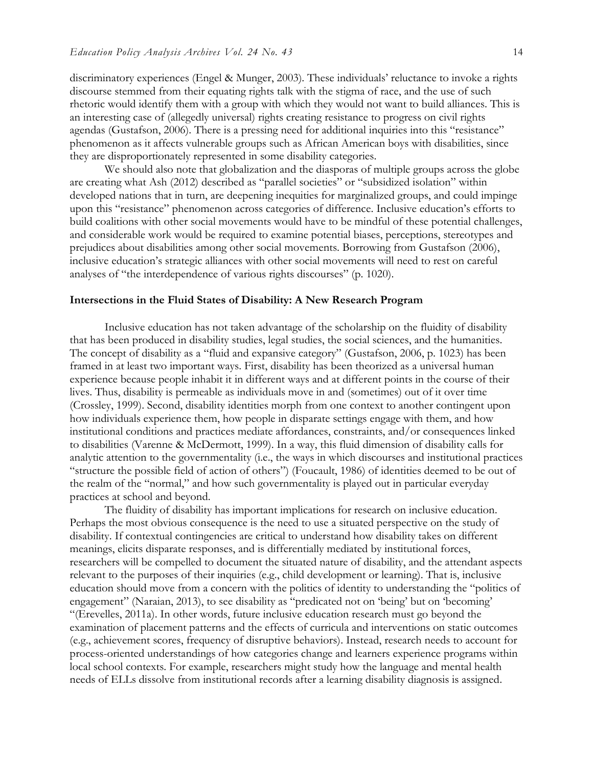discriminatory experiences (Engel & Munger, 2003). These individuals' reluctance to invoke a rights discourse stemmed from their equating rights talk with the stigma of race, and the use of such rhetoric would identify them with a group with which they would not want to build alliances. This is an interesting case of (allegedly universal) rights creating resistance to progress on civil rights agendas (Gustafson, 2006). There is a pressing need for additional inquiries into this "resistance" phenomenon as it affects vulnerable groups such as African American boys with disabilities, since they are disproportionately represented in some disability categories.

We should also note that globalization and the diasporas of multiple groups across the globe are creating what Ash (2012) described as "parallel societies" or "subsidized isolation" within developed nations that in turn, are deepening inequities for marginalized groups, and could impinge upon this "resistance" phenomenon across categories of difference. Inclusive education's efforts to build coalitions with other social movements would have to be mindful of these potential challenges, and considerable work would be required to examine potential biases, perceptions, stereotypes and prejudices about disabilities among other social movements. Borrowing from Gustafson (2006), inclusive education's strategic alliances with other social movements will need to rest on careful analyses of "the interdependence of various rights discourses" (p. 1020).

#### **Intersections in the Fluid States of Disability: A New Research Program**

Inclusive education has not taken advantage of the scholarship on the fluidity of disability that has been produced in disability studies, legal studies, the social sciences, and the humanities. The concept of disability as a "fluid and expansive category" (Gustafson, 2006, p. 1023) has been framed in at least two important ways. First, disability has been theorized as a universal human experience because people inhabit it in different ways and at different points in the course of their lives. Thus, disability is permeable as individuals move in and (sometimes) out of it over time (Crossley, 1999). Second, disability identities morph from one context to another contingent upon how individuals experience them, how people in disparate settings engage with them, and how institutional conditions and practices mediate affordances, constraints, and/or consequences linked to disabilities (Varenne & McDermott, 1999). In a way, this fluid dimension of disability calls for analytic attention to the governmentality (i.e., the ways in which discourses and institutional practices "structure the possible field of action of others") (Foucault, 1986) of identities deemed to be out of the realm of the "normal," and how such governmentality is played out in particular everyday practices at school and beyond.

The fluidity of disability has important implications for research on inclusive education. Perhaps the most obvious consequence is the need to use a situated perspective on the study of disability. If contextual contingencies are critical to understand how disability takes on different meanings, elicits disparate responses, and is differentially mediated by institutional forces, researchers will be compelled to document the situated nature of disability, and the attendant aspects relevant to the purposes of their inquiries (e.g., child development or learning). That is, inclusive education should move from a concern with the politics of identity to understanding the "politics of engagement" (Naraian, 2013), to see disability as "predicated not on 'being' but on 'becoming' "(Erevelles, 2011a). In other words, future inclusive education research must go beyond the examination of placement patterns and the effects of curricula and interventions on static outcomes (e.g., achievement scores, frequency of disruptive behaviors). Instead, research needs to account for process-oriented understandings of how categories change and learners experience programs within local school contexts. For example, researchers might study how the language and mental health needs of ELLs dissolve from institutional records after a learning disability diagnosis is assigned.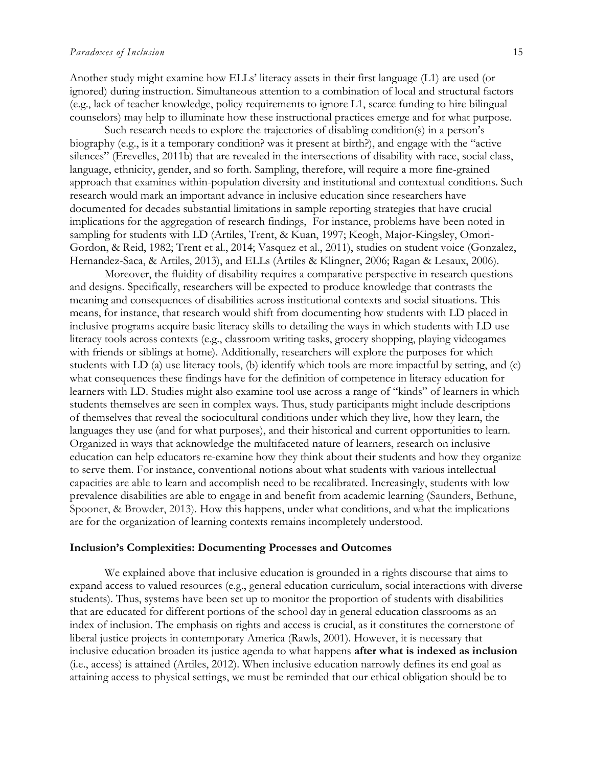Another study might examine how ELLs' literacy assets in their first language (L1) are used (or ignored) during instruction. Simultaneous attention to a combination of local and structural factors (e.g., lack of teacher knowledge, policy requirements to ignore L1, scarce funding to hire bilingual counselors) may help to illuminate how these instructional practices emerge and for what purpose.

Such research needs to explore the trajectories of disabling condition(s) in a person's biography (e.g., is it a temporary condition? was it present at birth?), and engage with the "active silences" (Erevelles, 2011b) that are revealed in the intersections of disability with race, social class, language, ethnicity, gender, and so forth. Sampling, therefore, will require a more fine-grained approach that examines within-population diversity and institutional and contextual conditions. Such research would mark an important advance in inclusive education since researchers have documented for decades substantial limitations in sample reporting strategies that have crucial implications for the aggregation of research findings, For instance, problems have been noted in sampling for students with LD (Artiles, Trent, & Kuan, 1997; Keogh, Major-Kingsley, Omori-Gordon, & Reid, 1982; Trent et al., 2014; Vasquez et al., 2011), studies on student voice (Gonzalez, Hernandez-Saca, & Artiles, 2013), and ELLs (Artiles & Klingner, 2006; Ragan & Lesaux, 2006).

Moreover, the fluidity of disability requires a comparative perspective in research questions and designs. Specifically, researchers will be expected to produce knowledge that contrasts the meaning and consequences of disabilities across institutional contexts and social situations. This means, for instance, that research would shift from documenting how students with LD placed in inclusive programs acquire basic literacy skills to detailing the ways in which students with LD use literacy tools across contexts (e.g., classroom writing tasks, grocery shopping, playing videogames with friends or siblings at home). Additionally, researchers will explore the purposes for which students with LD (a) use literacy tools, (b) identify which tools are more impactful by setting, and (c) what consequences these findings have for the definition of competence in literacy education for learners with LD. Studies might also examine tool use across a range of "kinds" of learners in which students themselves are seen in complex ways. Thus, study participants might include descriptions of themselves that reveal the sociocultural conditions under which they live, how they learn, the languages they use (and for what purposes), and their historical and current opportunities to learn. Organized in ways that acknowledge the multifaceted nature of learners, research on inclusive education can help educators re-examine how they think about their students and how they organize to serve them. For instance, conventional notions about what students with various intellectual capacities are able to learn and accomplish need to be recalibrated. Increasingly, students with low prevalence disabilities are able to engage in and benefit from academic learning (Saunders, Bethune, Spooner, & Browder, 2013). How this happens, under what conditions, and what the implications are for the organization of learning contexts remains incompletely understood.

#### **Inclusion's Complexities: Documenting Processes and Outcomes**

We explained above that inclusive education is grounded in a rights discourse that aims to expand access to valued resources (e.g., general education curriculum, social interactions with diverse students). Thus, systems have been set up to monitor the proportion of students with disabilities that are educated for different portions of the school day in general education classrooms as an index of inclusion. The emphasis on rights and access is crucial, as it constitutes the cornerstone of liberal justice projects in contemporary America (Rawls, 2001). However, it is necessary that inclusive education broaden its justice agenda to what happens **after what is indexed as inclusion**  (i.e., access) is attained (Artiles, 2012). When inclusive education narrowly defines its end goal as attaining access to physical settings, we must be reminded that our ethical obligation should be to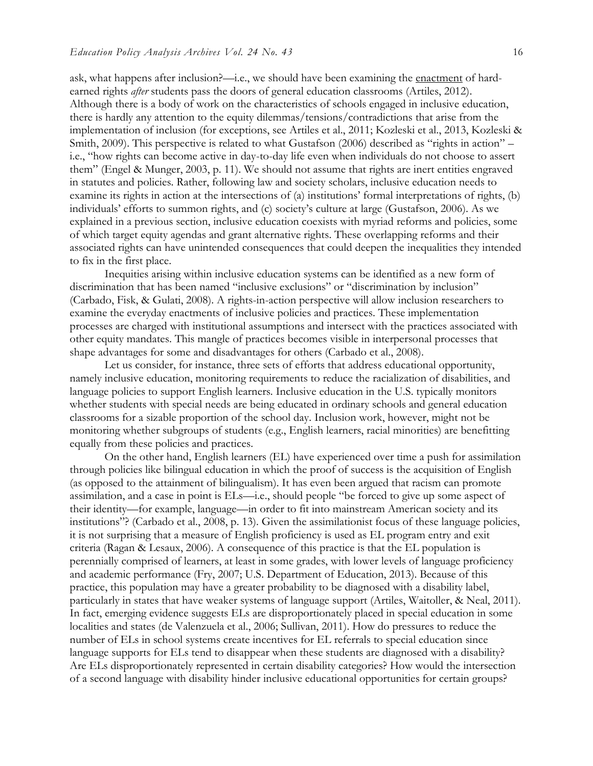ask, what happens after inclusion?—i.e., we should have been examining the enactment of hardearned rights *after* students pass the doors of general education classrooms (Artiles, 2012). Although there is a body of work on the characteristics of schools engaged in inclusive education, there is hardly any attention to the equity dilemmas/tensions/contradictions that arise from the implementation of inclusion (for exceptions, see Artiles et al., 2011; Kozleski et al., 2013, Kozleski & Smith, 2009). This perspective is related to what Gustafson (2006) described as "rights in action" – i.e., "how rights can become active in day-to-day life even when individuals do not choose to assert them" (Engel & Munger, 2003, p. 11). We should not assume that rights are inert entities engraved in statutes and policies. Rather, following law and society scholars, inclusive education needs to examine its rights in action at the intersections of (a) institutions' formal interpretations of rights, (b) individuals' efforts to summon rights, and (c) society's culture at large (Gustafson, 2006). As we explained in a previous section, inclusive education coexists with myriad reforms and policies, some of which target equity agendas and grant alternative rights. These overlapping reforms and their associated rights can have unintended consequences that could deepen the inequalities they intended to fix in the first place.

Inequities arising within inclusive education systems can be identified as a new form of discrimination that has been named "inclusive exclusions" or "discrimination by inclusion" (Carbado, Fisk, & Gulati, 2008). A rights-in-action perspective will allow inclusion researchers to examine the everyday enactments of inclusive policies and practices. These implementation processes are charged with institutional assumptions and intersect with the practices associated with other equity mandates. This mangle of practices becomes visible in interpersonal processes that shape advantages for some and disadvantages for others (Carbado et al., 2008).

Let us consider, for instance, three sets of efforts that address educational opportunity, namely inclusive education, monitoring requirements to reduce the racialization of disabilities, and language policies to support English learners. Inclusive education in the U.S. typically monitors whether students with special needs are being educated in ordinary schools and general education classrooms for a sizable proportion of the school day. Inclusion work, however, might not be monitoring whether subgroups of students (e.g., English learners, racial minorities) are benefitting equally from these policies and practices.

On the other hand, English learners (EL) have experienced over time a push for assimilation through policies like bilingual education in which the proof of success is the acquisition of English (as opposed to the attainment of bilingualism). It has even been argued that racism can promote assimilation, and a case in point is ELs—i.e., should people "be forced to give up some aspect of their identity—for example, language—in order to fit into mainstream American society and its institutions"? (Carbado et al., 2008, p. 13). Given the assimilationist focus of these language policies, it is not surprising that a measure of English proficiency is used as EL program entry and exit criteria (Ragan & Lesaux, 2006). A consequence of this practice is that the EL population is perennially comprised of learners, at least in some grades, with lower levels of language proficiency and academic performance (Fry, 2007; U.S. Department of Education, 2013). Because of this practice, this population may have a greater probability to be diagnosed with a disability label, particularly in states that have weaker systems of language support (Artiles, Waitoller, & Neal, 2011). In fact, emerging evidence suggests ELs are disproportionately placed in special education in some localities and states (de Valenzuela et al., 2006; Sullivan, 2011). How do pressures to reduce the number of ELs in school systems create incentives for EL referrals to special education since language supports for ELs tend to disappear when these students are diagnosed with a disability? Are ELs disproportionately represented in certain disability categories? How would the intersection of a second language with disability hinder inclusive educational opportunities for certain groups?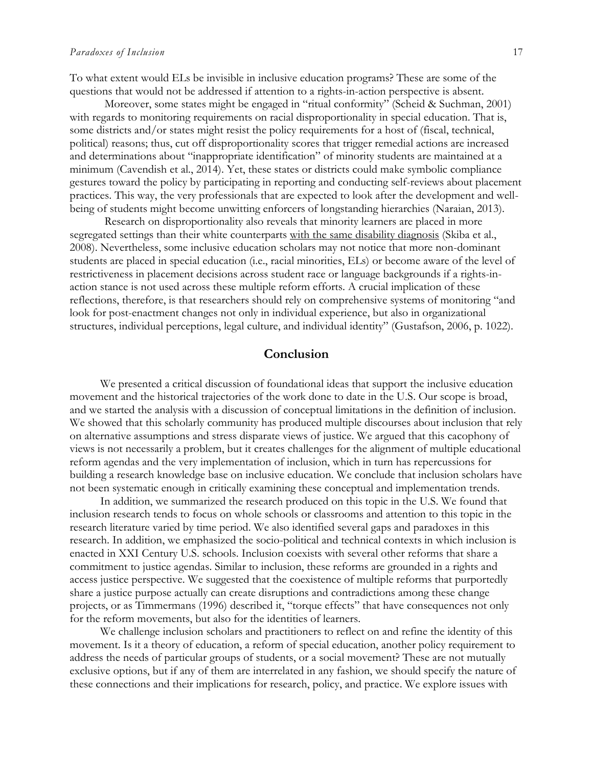To what extent would ELs be invisible in inclusive education programs? These are some of the questions that would not be addressed if attention to a rights-in-action perspective is absent.

Moreover, some states might be engaged in "ritual conformity" (Scheid & Suchman, 2001) with regards to monitoring requirements on racial disproportionality in special education. That is, some districts and/or states might resist the policy requirements for a host of (fiscal, technical, political) reasons; thus, cut off disproportionality scores that trigger remedial actions are increased and determinations about "inappropriate identification" of minority students are maintained at a minimum (Cavendish et al., 2014). Yet, these states or districts could make symbolic compliance gestures toward the policy by participating in reporting and conducting self-reviews about placement practices. This way, the very professionals that are expected to look after the development and wellbeing of students might become unwitting enforcers of longstanding hierarchies (Naraian, 2013).

Research on disproportionality also reveals that minority learners are placed in more segregated settings than their white counterparts with the same disability diagnosis (Skiba et al., 2008). Nevertheless, some inclusive education scholars may not notice that more non-dominant students are placed in special education (i.e., racial minorities, ELs) or become aware of the level of restrictiveness in placement decisions across student race or language backgrounds if a rights-inaction stance is not used across these multiple reform efforts. A crucial implication of these reflections, therefore, is that researchers should rely on comprehensive systems of monitoring "and look for post-enactment changes not only in individual experience, but also in organizational structures, individual perceptions, legal culture, and individual identity" (Gustafson, 2006, p. 1022).

#### **Conclusion**

We presented a critical discussion of foundational ideas that support the inclusive education movement and the historical trajectories of the work done to date in the U.S. Our scope is broad, and we started the analysis with a discussion of conceptual limitations in the definition of inclusion. We showed that this scholarly community has produced multiple discourses about inclusion that rely on alternative assumptions and stress disparate views of justice. We argued that this cacophony of views is not necessarily a problem, but it creates challenges for the alignment of multiple educational reform agendas and the very implementation of inclusion, which in turn has repercussions for building a research knowledge base on inclusive education. We conclude that inclusion scholars have not been systematic enough in critically examining these conceptual and implementation trends.

In addition, we summarized the research produced on this topic in the U.S. We found that inclusion research tends to focus on whole schools or classrooms and attention to this topic in the research literature varied by time period. We also identified several gaps and paradoxes in this research. In addition, we emphasized the socio-political and technical contexts in which inclusion is enacted in XXI Century U.S. schools. Inclusion coexists with several other reforms that share a commitment to justice agendas. Similar to inclusion, these reforms are grounded in a rights and access justice perspective. We suggested that the coexistence of multiple reforms that purportedly share a justice purpose actually can create disruptions and contradictions among these change projects, or as Timmermans (1996) described it, "torque effects" that have consequences not only for the reform movements, but also for the identities of learners.

We challenge inclusion scholars and practitioners to reflect on and refine the identity of this movement. Is it a theory of education, a reform of special education, another policy requirement to address the needs of particular groups of students, or a social movement? These are not mutually exclusive options, but if any of them are interrelated in any fashion, we should specify the nature of these connections and their implications for research, policy, and practice. We explore issues with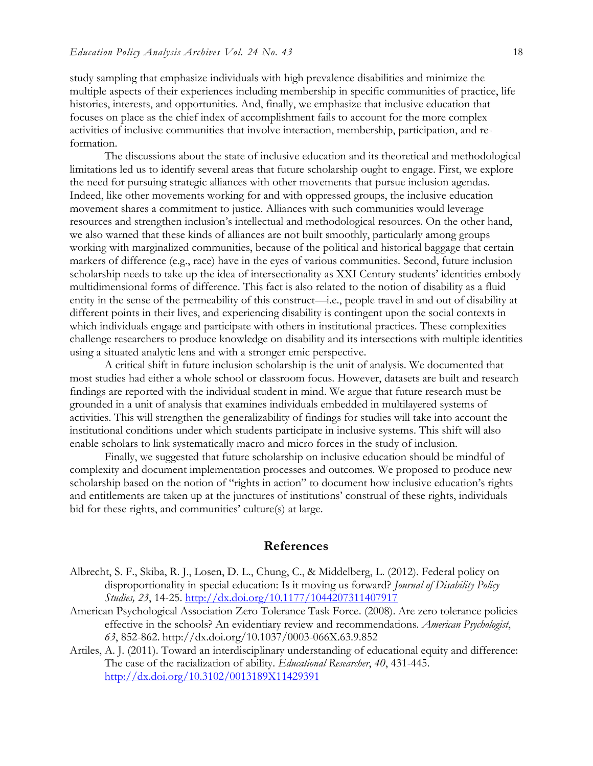study sampling that emphasize individuals with high prevalence disabilities and minimize the multiple aspects of their experiences including membership in specific communities of practice, life histories, interests, and opportunities. And, finally, we emphasize that inclusive education that focuses on place as the chief index of accomplishment fails to account for the more complex activities of inclusive communities that involve interaction, membership, participation, and reformation.

The discussions about the state of inclusive education and its theoretical and methodological limitations led us to identify several areas that future scholarship ought to engage. First, we explore the need for pursuing strategic alliances with other movements that pursue inclusion agendas. Indeed, like other movements working for and with oppressed groups, the inclusive education movement shares a commitment to justice. Alliances with such communities would leverage resources and strengthen inclusion's intellectual and methodological resources. On the other hand, we also warned that these kinds of alliances are not built smoothly, particularly among groups working with marginalized communities, because of the political and historical baggage that certain markers of difference (e.g., race) have in the eyes of various communities. Second, future inclusion scholarship needs to take up the idea of intersectionality as XXI Century students' identities embody multidimensional forms of difference. This fact is also related to the notion of disability as a fluid entity in the sense of the permeability of this construct—i.e., people travel in and out of disability at different points in their lives, and experiencing disability is contingent upon the social contexts in which individuals engage and participate with others in institutional practices. These complexities challenge researchers to produce knowledge on disability and its intersections with multiple identities using a situated analytic lens and with a stronger emic perspective.

A critical shift in future inclusion scholarship is the unit of analysis. We documented that most studies had either a whole school or classroom focus. However, datasets are built and research findings are reported with the individual student in mind. We argue that future research must be grounded in a unit of analysis that examines individuals embedded in multilayered systems of activities. This will strengthen the generalizability of findings for studies will take into account the institutional conditions under which students participate in inclusive systems. This shift will also enable scholars to link systematically macro and micro forces in the study of inclusion.

Finally, we suggested that future scholarship on inclusive education should be mindful of complexity and document implementation processes and outcomes. We proposed to produce new scholarship based on the notion of "rights in action" to document how inclusive education's rights and entitlements are taken up at the junctures of institutions' construal of these rights, individuals bid for these rights, and communities' culture(s) at large.

#### **References**

- Albrecht, S. F., Skiba, R. J., Losen, D. L., Chung, C., & Middelberg, L. (2012). Federal policy on disproportionality in special education: Is it moving us forward? *Journal of Disability Policy Studies, 23*, 14-25. <http://dx.doi.org/10.1177/1044207311407917>
- American Psychological Association Zero Tolerance Task Force. (2008). Are zero tolerance policies effective in the schools? An evidentiary review and recommendations. *American Psychologist*, *63*, 852-862. http://dx.doi.org/10.1037/0003-066X.63.9.852
- Artiles, A. J. (2011). Toward an interdisciplinary understanding of educational equity and difference: The case of the racialization of ability. *Educational Researcher*, *40*, 431-445. <http://dx.doi.org/10.3102/0013189X11429391>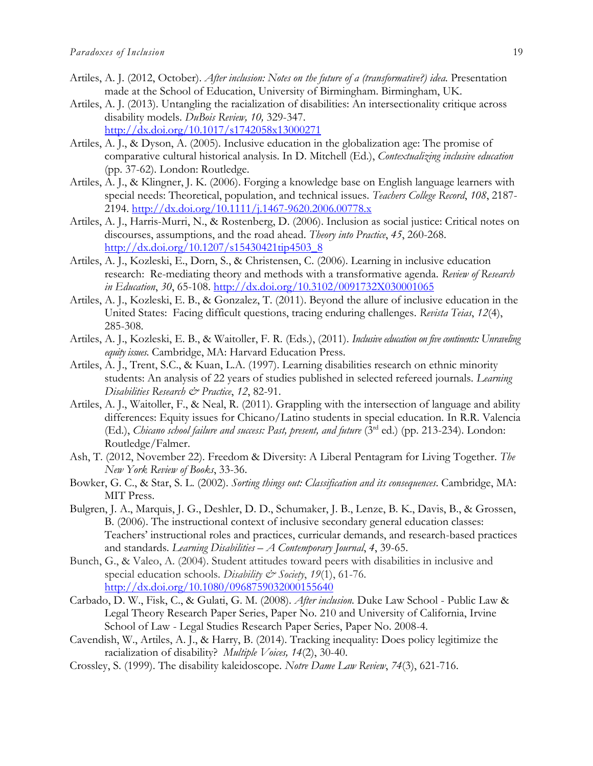- Artiles, A. J. (2012, October). *After inclusion: Notes on the future of a (transformative?) idea.* Presentation made at the School of Education, University of Birmingham. Birmingham, UK.
- Artiles, A. J. (2013). Untangling the racialization of disabilities: An intersectionality critique across disability models. *DuBois Review, 10,* 329-347. <http://dx.doi.org/10.1017/s1742058x13000271>
- Artiles, A. J., & Dyson, A. (2005). Inclusive education in the globalization age: The promise of comparative cultural historical analysis. In D. Mitchell (Ed.), *Contextualizing inclusive education* (pp. 37-62). London: Routledge.
- Artiles, A. J., & Klingner, J. K. (2006). Forging a knowledge base on English language learners with special needs: Theoretical, population, and technical issues. *Teachers College Record*, *108*, 2187- 2194.<http://dx.doi.org/10.1111/j.1467-9620.2006.00778.x>
- Artiles, A. J., Harris-Murri, N., & Rostenberg, D. (2006). Inclusion as social justice: Critical notes on discourses, assumptions, and the road ahead. *Theory into Practice*, *45*, 260-268. [http://dx.doi.org/10.1207/s15430421tip4503\\_8](http://dx.doi.org/10.1207/s15430421tip4503_8)
- Artiles, A. J., Kozleski, E., Dorn, S., & Christensen, C. (2006). Learning in inclusive education research: Re-mediating theory and methods with a transformative agenda. *Review of Research in Education*, *30*, 65-108.<http://dx.doi.org/10.3102/0091732X030001065>
- Artiles, A. J., Kozleski, E. B., & Gonzalez, T. (2011). Beyond the allure of inclusive education in the United States: Facing difficult questions, tracing enduring challenges. *Revista Teias*, *12*(4), 285-308.
- Artiles, A. J., Kozleski, E. B., & Waitoller, F. R. (Eds.), (2011). *Inclusive education on five continents: Unraveling equity issues*. Cambridge, MA: Harvard Education Press.
- Artiles, A. J., Trent, S.C., & Kuan, L.A. (1997). Learning disabilities research on ethnic minority students: An analysis of 22 years of studies published in selected refereed journals. *Learning Disabilities Research & Practice*, *12*, 82-91.
- Artiles, A. J., Waitoller, F., & Neal, R. (2011). Grappling with the intersection of language and ability differences: Equity issues for Chicano/Latino students in special education. In R.R. Valencia (Ed.), *Chicano school failure and success: Past, present, and future* (3rd ed.) (pp. 213-234). London: Routledge/Falmer.
- Ash, T. (2012, November 22). Freedom & Diversity: A Liberal Pentagram for Living Together. *The New York Review of Books*, 33-36.
- Bowker, G. C., & Star, S. L. (2002). *Sorting things out: Classification and its consequences*. Cambridge, MA: MIT Press.
- Bulgren, J. A., Marquis, J. G., Deshler, D. D., Schumaker, J. B., Lenze, B. K., Davis, B., & Grossen, B. (2006). The instructional context of inclusive secondary general education classes: Teachers' instructional roles and practices, curricular demands, and research-based practices and standards. *Learning Disabilities – A Contemporary Journal*, *4*, 39-65.
- Bunch, G., & Valeo, A. (2004). Student attitudes toward peers with disabilities in inclusive and special education schools. *Disability & Society*, *19*(1), 61-76. <http://dx.doi.org/10.1080/0968759032000155640>
- Carbado, D. W., Fisk, C., & Gulati, G. M. (2008). *After inclusion.* Duke Law School Public Law & Legal Theory Research Paper Series, Paper No. 210 and University of California, Irvine School of Law - Legal Studies Research Paper Series, Paper No. 2008-4.
- Cavendish, W., Artiles, A. J., & Harry, B. (2014). Tracking inequality: Does policy legitimize the racialization of disability? *Multiple Voices, 14*(2), 30-40.
- Crossley, S. (1999). The disability kaleidoscope. *Notre Dame Law Review*, *74*(3), 621-716.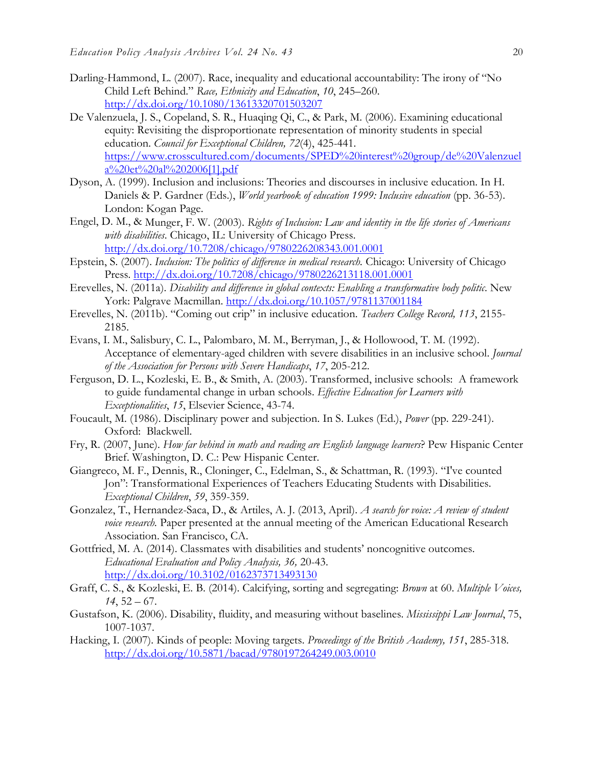- Darling-Hammond, L. (2007). Race, inequality and educational accountability: The irony of "No Child Left Behind." *Race, Ethnicity and Education*, *10*, 245–260. <http://dx.doi.org/10.1080/13613320701503207>
- De Valenzuela, J. S., Copeland, S. R., Huaqing Qi, C., & Park, M. (2006). Examining educational equity: Revisiting the disproportionate representation of minority students in special education. *Council for Exceptional Children, 72*(4), 425-441. [https://www.crosscultured.com/documents/SPED%20interest%20group/de%20Valenzuel](https://www.crosscultured.com/documents/SPED%20interest%20group/de%20Valenzuela%20et%20al%202006%5b1%5d.pdf) [a%20et%20al%202006\[1\].pdf](https://www.crosscultured.com/documents/SPED%20interest%20group/de%20Valenzuela%20et%20al%202006%5b1%5d.pdf)
- Dyson, A. (1999). Inclusion and inclusions: Theories and discourses in inclusive education. In H. Daniels & P. Gardner (Eds.), *World yearbook of education 1999: Inclusive education* (pp. 36-53). London: Kogan Page.
- Engel, D. M., & Munger, F. W. (2003). *Rights of Inclusion: Law and identity in the life stories of Americans with disabilities*. Chicago, IL: University of Chicago Press. <http://dx.doi.org/10.7208/chicago/9780226208343.001.0001>
- Epstein, S. (2007). *Inclusion: The politics of difference in medical research.* Chicago: University of Chicago Press.<http://dx.doi.org/10.7208/chicago/9780226213118.001.0001>
- Erevelles, N. (2011a). *Disability and difference in global contexts: Enabling a transformative body politic*. New York: Palgrave Macmillan.<http://dx.doi.org/10.1057/9781137001184>
- Erevelles, N. (2011b). "Coming out crip" in inclusive education. *Teachers College Record, 113*, 2155- 2185.
- Evans, I. M., Salisbury, C. L., Palombaro, M. M., Berryman, J., & Hollowood, T. M. (1992). Acceptance of elementary-aged children with severe disabilities in an inclusive school. *Journal of the Association for Persons with Severe Handicaps*, *17*, 205-212.
- Ferguson, D. L., Kozleski, E. B., & Smith, A. (2003). Transformed, inclusive schools: A framework to guide fundamental change in urban schools. *Effective Education for Learners with Exceptionalities*, *15*, Elsevier Science, 43-74.
- Foucault, M. (1986). Disciplinary power and subjection. In S. Lukes (Ed.), *Power* (pp. 229-241). Oxford: Blackwell.
- Fry, R. (2007, June). *How far behind in math and reading are English language learners*? Pew Hispanic Center Brief. Washington, D. C.: Pew Hispanic Center.
- Giangreco, M. F., Dennis, R., Cloninger, C., Edelman, S., & Schattman, R. (1993). "I've counted Jon": Transformational Experiences of Teachers Educating Students with Disabilities. *Exceptional Children*, *59*, 359-359.
- Gonzalez, T., Hernandez-Saca, D., & Artiles, A. J. (2013, April). *A search for voice: A review of student voice research.* Paper presented at the annual meeting of the American Educational Research Association. San Francisco, CA.
- Gottfried, M. A. (2014). Classmates with disabilities and students' noncognitive outcomes. *Educational Evaluation and Policy Analysis, 36,* 20-43. <http://dx.doi.org/10.3102/0162373713493130>
- Graff, C. S., & Kozleski, E. B. (2014). Calcifying, sorting and segregating: *Brown* at 60. *Multiple Voices, 14*, 52 – 67.
- Gustafson, K. (2006). Disability, fluidity, and measuring without baselines. *Mississippi Law Journal*, 75, 1007-1037.
- Hacking, I. (2007). Kinds of people: Moving targets. *Proceedings of the British Academy, 151*, 285-318. <http://dx.doi.org/10.5871/bacad/9780197264249.003.0010>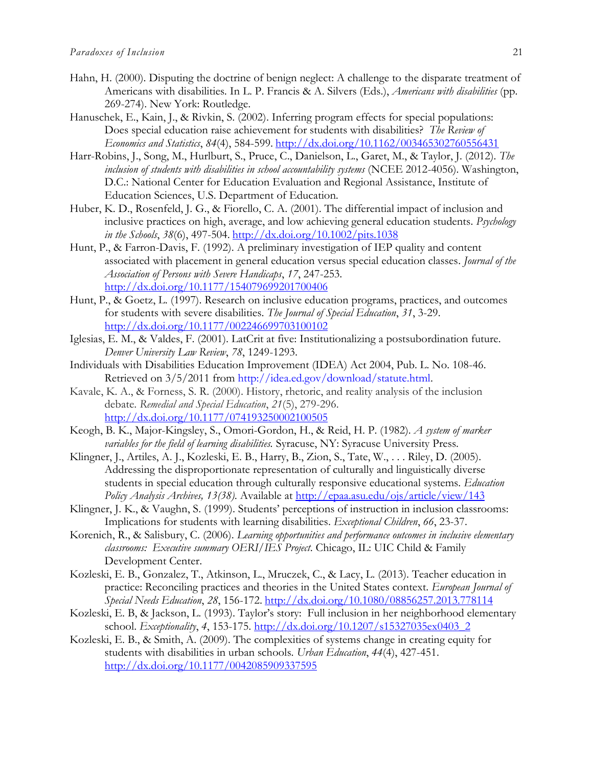- Hahn, H. (2000). Disputing the doctrine of benign neglect: A challenge to the disparate treatment of Americans with disabilities. In L. P. Francis & A. Silvers (Eds.), *Americans with disabilities* (pp. 269-274). New York: Routledge.
- Hanuschek, E., Kain, J., & Rivkin, S. (2002). Inferring program effects for special populations: Does special education raise achievement for students with disabilities? *The Review of Economics and Statistics*, *84*(4), 584-599. <http://dx.doi.org/10.1162/003465302760556431>
- Harr-Robins, J., Song, M., Hurlburt, S., Pruce, C., Danielson, L., Garet, M., & Taylor, J. (2012). *The inclusion of students with disabilities in school accountability systems* (NCEE 2012-4056). Washington, D.C.: National Center for Education Evaluation and Regional Assistance, Institute of Education Sciences, U.S. Department of Education.
- Huber, K. D., Rosenfeld, J. G., & Fiorello, C. A. (2001). The differential impact of inclusion and inclusive practices on high, average, and low achieving general education students. *Psychology in the Schools*, *38*(6), 497-504. <http://dx.doi.org/10.1002/pits.1038>
- Hunt, P., & Farron-Davis, F. (1992). A preliminary investigation of IEP quality and content associated with placement in general education versus special education classes. *Journal of the Association of Persons with Severe Handicaps*, *17*, 247-253. <http://dx.doi.org/10.1177/154079699201700406>
- Hunt, P., & Goetz, L. (1997). Research on inclusive education programs, practices, and outcomes for students with severe disabilities. *The Journal of Special Education*, *31*, 3-29. <http://dx.doi.org/10.1177/002246699703100102>
- Iglesias, E. M., & Valdes, F. (2001). LatCrit at five: Institutionalizing a postsubordination future. *Denver University Law Review*, *78*, 1249-1293.
- Individuals with Disabilities Education Improvement (IDEA) Act 2004, Pub. L. No. 108-46. Retrieved on 3/5/2011 from http://idea.ed.gov/download/statute.html.
- Kavale, K. A., & Forness, S. R. (2000). History, rhetoric, and reality analysis of the inclusion debate. *Remedial and Special Education*, *21*(5), 279-296. <http://dx.doi.org/10.1177/074193250002100505>
- Keogh, B. K., Major-Kingsley, S., Omori-Gordon, H., & Reid, H. P. (1982). *A system of marker variables for the field of learning disabilities.* Syracuse, NY: Syracuse University Press.
- Klingner, J., Artiles, A. J., Kozleski, E. B., Harry, B., Zion, S., Tate, W., . . . Riley, D. (2005). Addressing the disproportionate representation of culturally and linguistically diverse students in special education through culturally responsive educational systems. *Education Policy Analysis Archives, 13(38)*. Available at<http://epaa.asu.edu/ojs/article/view/143>
- Klingner, J. K., & Vaughn, S. (1999). Students' perceptions of instruction in inclusion classrooms: Implications for students with learning disabilities. *Exceptional Children*, *66*, 23-37.
- Korenich, R., & Salisbury, C. (2006). *Learning opportunities and performance outcomes in inclusive elementary classrooms: Executive summary OERI/IES Project*. Chicago, IL: UIC Child & Family Development Center.
- Kozleski, E. B., Gonzalez, T., Atkinson, L., Mruczek, C., & Lacy, L. (2013). Teacher education in practice: Reconciling practices and theories in the United States context. *European Journal of Special Needs Education*, *28*, 156-172. <http://dx.doi.org/10.1080/08856257.2013.778114>
- Kozleski, E. B, & Jackson, L. (1993). Taylor's story: Full inclusion in her neighborhood elementary school. *Exceptionality*, *4*, 153-175. [http://dx.doi.org/10.1207/s15327035ex0403\\_2](http://dx.doi.org/10.1207/s15327035ex0403_2)
- Kozleski, E. B., & Smith, A. (2009). The complexities of systems change in creating equity for students with disabilities in urban schools. *Urban Education*, *44*(4), 427-451. <http://dx.doi.org/10.1177/0042085909337595>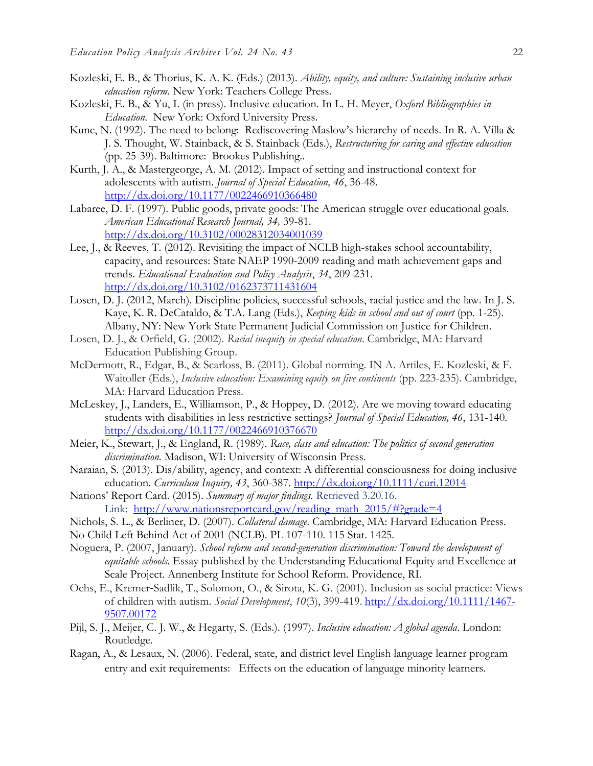- Kozleski, E. B., & Thorius, K. A. K. (Eds.) (2013). *Ability, equity, and culture: Sustaining inclusive urban education reform.* New York: Teachers College Press.
- Kozleski, E. B., & Yu, I. (in press). Inclusive education. In L. H. Meyer, *Oxford Bibliographies in Education*. New York: Oxford University Press.
- Kunc, N. (1992). The need to belong: Rediscovering Maslow's hierarchy of needs. In R. A. Villa & J. S. Thought, W. Stainback, & S. Stainback (Eds.), *Restructuring for caring and effective education*  (pp. 25-39). Baltimore: Brookes Publishing..
- Kurth, J. A., & Mastergeorge, A. M. (2012). Impact of setting and instructional context for adolescents with autism. *Journal of Special Education, 46*, 36-48. <http://dx.doi.org/10.1177/0022466910366480>
- Labaree, D. F. (1997). Public goods, private goods: The American struggle over educational goals. *American Educational Research Journal, 34,* 39-81. <http://dx.doi.org/10.3102/00028312034001039>
- Lee, J., & Reeves, T. (2012). Revisiting the impact of NCLB high-stakes school accountability, capacity, and resources: State NAEP 1990-2009 reading and math achievement gaps and trends. *Educational Evaluation and Policy Analysis*, *34*, 209-231. <http://dx.doi.org/10.3102/0162373711431604>
- Losen, D. J. (2012, March). Discipline policies, successful schools, racial justice and the law. In J. S. Kaye, K. R. DeCataldo, & T.A. Lang (Eds.), *Keeping kids in school and out of court* (pp. 1-25). Albany, NY: New York State Permanent Judicial Commission on Justice for Children.
- Losen, D. J., & Orfield, G. (2002). *Racial inequity in special education*. Cambridge, MA: Harvard Education Publishing Group.
- McDermott, R., Edgar, B., & Scarloss, B. (2011). Global norming. IN A. Artiles, E. Kozleski, & F. Waitoller (Eds.), *Inclusive education: Examining equity on five continents* (pp. 223-235). Cambridge, MA: Harvard Education Press.
- McLeskey, J., Landers, E., Williamson, P., & Hoppey, D. (2012). Are we moving toward educating students with disabilities in less restrictive settings? *Journal of Special Education, 46*, 131-140. <http://dx.doi.org/10.1177/0022466910376670>
- Meier, K., Stewart, J., & England, R. (1989). *Race, class and education: The politics of second generation discrimination.* Madison, WI: University of Wisconsin Press.
- Naraian, S. (2013). Dis/ability, agency, and context: A differential consciousness for doing inclusive education. *Curriculum Inquiry, 43*, 360-387.<http://dx.doi.org/10.1111/curi.12014>
- Nations' Report Card. (2015). *Summary of major findings.* Retrieved 3.20.16. Link: [http://www.nationsreportcard.gov/reading\\_math\\_2015/#?grade=4](http://www.nationsreportcard.gov/reading_math_2015/#?grade=4)
- Nichols, S. L., & Berliner, D. (2007). *Collateral damage*. Cambridge, MA: Harvard Education Press.
- No Child Left Behind Act of 2001 (NCLB). PL 107-110. 115 Stat. 1425.
- Noguera, P. (2007, January). *School reform and second-generation discrimination: Toward the development of equitable schools*. Essay published by the Understanding Educational Equity and Excellence at Scale Project. Annenberg Institute for School Reform. Providence, RI.
- Ochs, E., Kremer‐Sadlik, T., Solomon, O., & Sirota, K. G. (2001). Inclusion as social practice: Views of children with autism. *Social Development*, *10*(3), 399-419. [http://dx.doi.org/10.1111/1467-](http://dx.doi.org/10.1111/1467-9507.00172) [9507.00172](http://dx.doi.org/10.1111/1467-9507.00172)
- Pijl, S. J., Meijer, C. J. W., & Hegarty, S. (Eds.). (1997). *Inclusive education: A global agenda*. London: Routledge.
- Ragan, A., & Lesaux, N. (2006). Federal, state, and district level English language learner program entry and exit requirements: Effects on the education of language minority learners.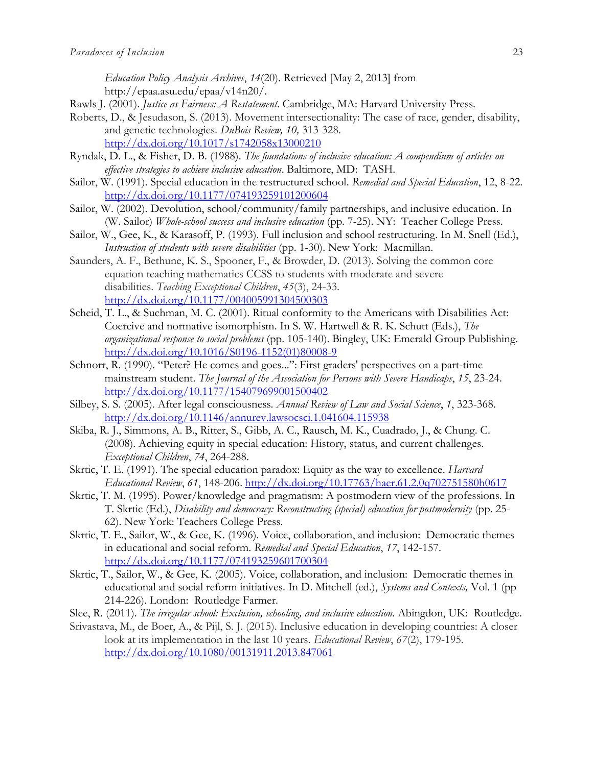*Education Policy Analysis Archives*, *14*(20). Retrieved [May 2, 2013] from http://epaa.asu.edu/epaa/v14n20/.

- Rawls J. (2001). *Justice as Fairness: A Restatement*. Cambridge, MA: Harvard University Press.
- Roberts, D., & Jesudason, S. (2013). Movement intersectionality: The case of race, gender, disability, and genetic technologies*. DuBois Review, 10,* 313-328. <http://dx.doi.org/10.1017/s1742058x13000210>
- Ryndak, D. L., & Fisher, D. B. (1988). *The foundations of inclusive education: A compendium of articles on effective strategies to achieve inclusive education*. Baltimore, MD: TASH.
- Sailor, W. (1991). Special education in the restructured school. *Remedial and Special Education*, 12, 8-22. <http://dx.doi.org/10.1177/074193259101200604>
- Sailor, W. (2002). Devolution, school/community/family partnerships, and inclusive education. In (W. Sailor) *Whole-school success and inclusive education* (pp. 7-25). NY: Teacher College Press.
- Sailor, W., Gee, K., & Karasoff, P. (1993). Full inclusion and school restructuring. In M. Snell (Ed.), *Instruction of students with severe disabilities* (pp. 1-30). New York: Macmillan.
- Saunders, A. F., Bethune, K. S., Spooner, F., & Browder, D. (2013). Solving the common core equation teaching mathematics CCSS to students with moderate and severe disabilities. *Teaching Exceptional Children*, *45*(3), 24-33. <http://dx.doi.org/10.1177/004005991304500303>
- Scheid, T. L., & Suchman, M. C. (2001). Ritual conformity to the Americans with Disabilities Act: Coercive and normative isomorphism. In S. W. Hartwell & R. K. Schutt (Eds.), *The organizational response to social problems* (pp. 105-140). Bingley, UK: Emerald Group Publishing. [http://dx.doi.org/10.1016/S0196-1152\(01\)80008-9](http://dx.doi.org/10.1016/S0196-1152(01)80008-9)
- Schnorr, R. (1990). "Peter? He comes and goes...": First graders' perspectives on a part-time mainstream student. *The Journal of the Association for Persons with Severe Handicaps*, *15*, 23-24. <http://dx.doi.org/10.1177/154079699001500402>
- Silbey, S. S. (2005). After legal consciousness. *Annual Review of Law and Social Science*, *1*, 323-368. <http://dx.doi.org/10.1146/annurev.lawsocsci.1.041604.115938>
- Skiba, R. J., Simmons, A. B., Ritter, S., Gibb, A. C., Rausch, M. K., Cuadrado, J., & Chung. C. (2008). Achieving equity in special education: History, status, and current challenges. *Exceptional Children*, *74*, 264-288.
- Skrtic, T. E. (1991). The special education paradox: Equity as the way to excellence. *Harvard Educational Review*, *61*, 148-206. <http://dx.doi.org/10.17763/haer.61.2.0q702751580h0617>
- Skrtic, T. M. (1995). Power/knowledge and pragmatism: A postmodern view of the professions. In T. Skrtic (Ed.), *Disability and democracy: Reconstructing (special) education for postmodernity* (pp. 25- 62). New York: Teachers College Press.
- Skrtic, T. E., Sailor, W., & Gee, K. (1996). Voice, collaboration, and inclusion: Democratic themes in educational and social reform. *Remedial and Special Education*, *17*, 142-157. <http://dx.doi.org/10.1177/074193259601700304>
- Skrtic, T., Sailor, W., & Gee, K. (2005). Voice, collaboration, and inclusion: Democratic themes in educational and social reform initiatives. In D. Mitchell (ed.), *Systems and Contexts,* Vol. 1 (pp 214-226). London: Routledge Farmer.
- Slee, R. (2011). *The irregular school: Exclusion, schooling, and inclusive education*. Abingdon, UK: Routledge.
- Srivastava, M., de Boer, A., & Pijl, S. J. (2015). Inclusive education in developing countries: A closer look at its implementation in the last 10 years. *Educational Review*, *67*(2), 179-195. <http://dx.doi.org/10.1080/00131911.2013.847061>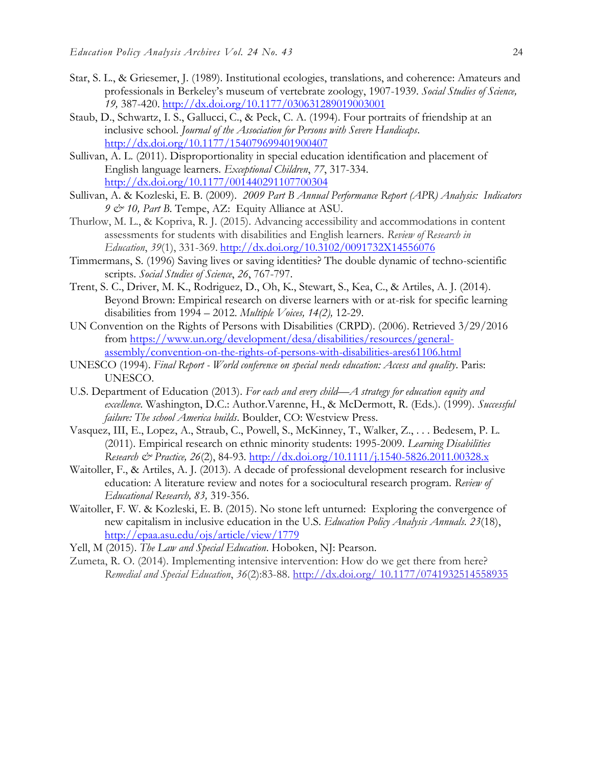- Star, S. L., & Griesemer, J. (1989). Institutional ecologies, translations, and coherence: Amateurs and professionals in Berkeley's museum of vertebrate zoology, 1907-1939. *Social Studies of Science, 19,* 387-420. <http://dx.doi.org/10.1177/030631289019003001>
- Staub, D., Schwartz, I. S., Gallucci, C., & Peck, C. A. (1994). Four portraits of friendship at an inclusive school. *Journal of the Association for Persons with Severe Handicaps*. <http://dx.doi.org/10.1177/154079699401900407>
- Sullivan, A. L. (2011). Disproportionality in special education identification and placement of English language learners. *Exceptional Children*, *77*, 317-334. <http://dx.doi.org/10.1177/001440291107700304>
- Sullivan, A. & Kozleski, E. B. (2009). *2009 Part B Annual Performance Report (APR) Analysis: Indicators 9 & 10, Part B*. Tempe, AZ: Equity Alliance at ASU.
- Thurlow, M. L., & Kopriva, R. J. (2015). Advancing accessibility and accommodations in content assessments for students with disabilities and English learners. *Review of Research in Education*, *39*(1), 331-369. <http://dx.doi.org/10.3102/0091732X14556076>
- Timmermans, S. (1996) Saving lives or saving identities? The double dynamic of techno-scientific scripts. *Social Studies of Science*, *26*, 767-797.
- Trent, S. C., Driver, M. K., Rodriguez, D., Oh, K., Stewart, S., Kea, C., & Artiles, A. J. (2014). Beyond Brown: Empirical research on diverse learners with or at-risk for specific learning disabilities from 1994 – 2012. *Multiple Voices, 14(2),* 12-29.
- UN Convention on the Rights of Persons with Disabilities (CRPD). (2006). Retrieved 3/29/2016 from [https://www.un.org/development/desa/disabilities/resources/general](https://www.un.org/development/desa/disabilities/resources/general-assembly/convention-on-the-rights-of-persons-with-disabilities-ares61106.html)[assembly/convention-on-the-rights-of-persons-with-disabilities-ares61106.html](https://www.un.org/development/desa/disabilities/resources/general-assembly/convention-on-the-rights-of-persons-with-disabilities-ares61106.html)
- UNESCO (1994). *Final Report - World conference on special needs education: Access and quality*. Paris: UNESCO.
- U.S. Department of Education (2013). *For each and every child—A strategy for education equity and excellence*. Washington, D.C.: Author.Varenne, H., & McDermott, R. (Eds.). (1999). *Successful failure: The school America builds*. Boulder, CO: Westview Press.
- Vasquez, III, E., Lopez, A., Straub, C., Powell, S., McKinney, T., Walker, Z., . . . Bedesem, P. L. (2011). Empirical research on ethnic minority students: 1995-2009. *Learning Disabilities Research & Practice, 26*(2), 84-93.<http://dx.doi.org/10.1111/j.1540-5826.2011.00328.x>
- Waitoller, F., & Artiles, A. J. (2013). A decade of professional development research for inclusive education: A literature review and notes for a sociocultural research program. *Review of Educational Research, 83,* 319-356.
- Waitoller, F. W. & Kozleski, E. B. (2015). No stone left unturned: Exploring the convergence of new capitalism in inclusive education in the U.S. *Education Policy Analysis Annuals. 23*(18), <http://epaa.asu.edu/ojs/article/view/1779>
- Yell, M (2015). *The Law and Special Education*. Hoboken, NJ: Pearson.
- Zumeta, R. O. (2014). Implementing intensive intervention: How do we get there from here? *Remedial and Special Education*, *36*(2):83-88. http://dx.doi.org/ 10.1177/0741932514558935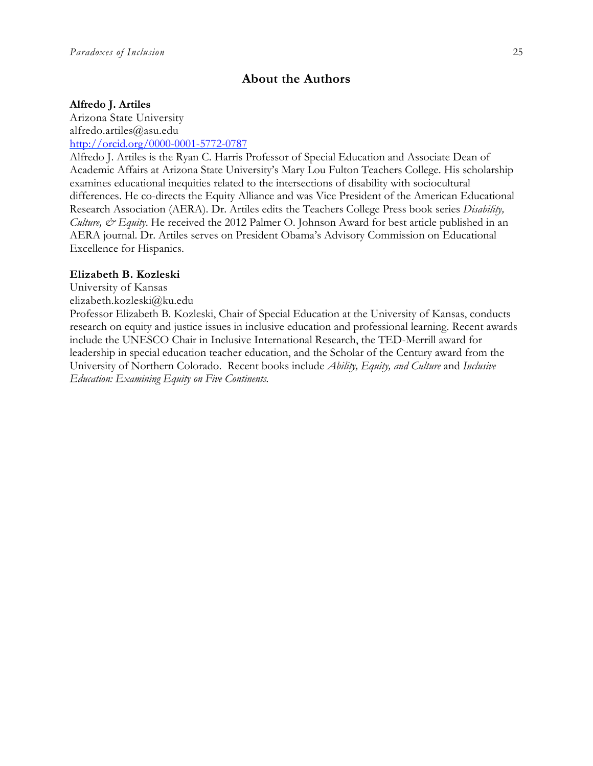## **About the Authors**

#### **Alfredo J. Artiles**

Arizona State University alfredo.artiles@asu.edu [http://orcid.org/0000-0001-5772-0787](http://orcid.org/0000-0001-5772-0787?lang=en)

Alfredo J. Artiles is the Ryan C. Harris Professor of Special Education and Associate Dean of Academic Affairs at Arizona State University's Mary Lou Fulton Teachers College. His scholarship examines educational inequities related to the intersections of disability with sociocultural differences. He co-directs the Equity Alliance and was Vice President of the American Educational Research Association (AERA). Dr. Artiles edits the Teachers College Press book series *Disability, Culture, & Equity*. He received the 2012 Palmer O. Johnson Award for best article published in an AERA journal. Dr. Artiles serves on President Obama's Advisory Commission on Educational Excellence for Hispanics.

#### **Elizabeth B. Kozleski**

University of Kansas

elizabeth.kozleski@ku.edu

Professor Elizabeth B. Kozleski, Chair of Special Education at the University of Kansas, conducts research on equity and justice issues in inclusive education and professional learning. Recent awards include the UNESCO Chair in Inclusive International Research, the TED-Merrill award for leadership in special education teacher education, and the Scholar of the Century award from the University of Northern Colorado. Recent books include *Ability, Equity, and Culture* and *Inclusive Education: Examining Equity on Five Continents.*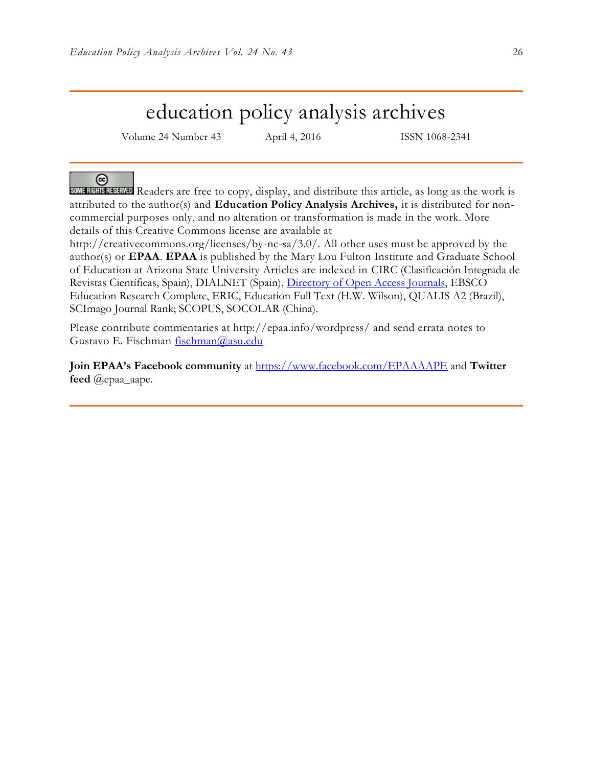## education policy analysis archives

Volume 24 Number 43 April 4, 2016 ISSN 1068-2341

ര

SOME RIGHTS RESERVED Readers are free to copy, display, and distribute this article, as long as the work is attributed to the author(s) and **Education Policy Analysis Archives,** it is distributed for noncommercial purposes only, and no alteration or transformation is made in the work. More details of this Creative Commons license are available at

http://creativecommons.org/licenses/by-nc-sa/3.0/. All other uses must be approved by the author(s) or **EPAA**. **EPAA** is published by the Mary Lou Fulton Institute and Graduate School of Education at Arizona State University Articles are indexed in CIRC (Clasificación Integrada de Revistas Científicas, Spain), DIALNET (Spain), [Directory of Open Access Journals,](http://www.doaj.org/) EBSCO Education Research Complete, ERIC, Education Full Text (H.W. Wilson), QUALIS A2 (Brazil), SCImago Journal Rank; SCOPUS, SOCOLAR (China).

Please contribute commentaries at http://epaa.info/wordpress/ and send errata notes to Gustavo E. Fischman [fischman@asu.edu](mailto:fischman@asu.edu)

**Join EPAA's Facebook community** at<https://www.facebook.com/EPAAAAPE> and **Twitter feed** @epaa\_aape.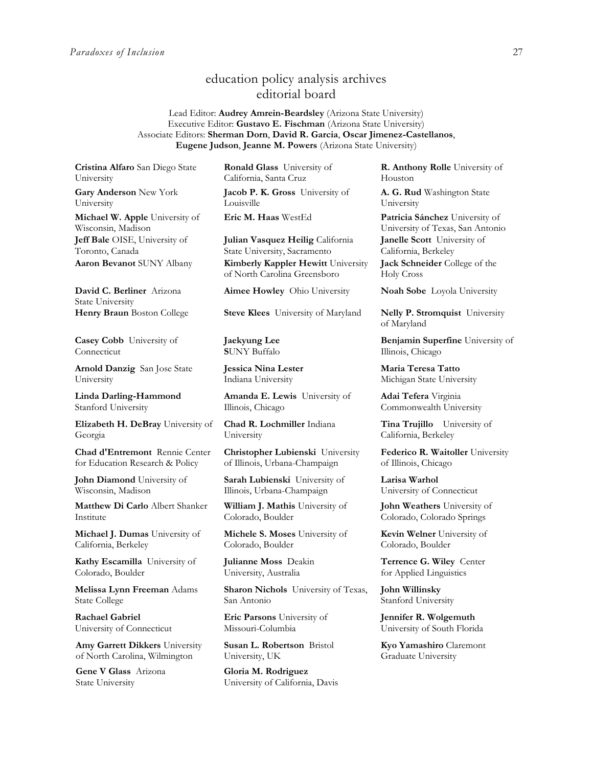## education policy analysis archives editorial board

Lead Editor: **Audrey Amrein-Beardsley** (Arizona State University) Executive Editor: **Gustavo E. Fischman** (Arizona State University) Associate Editors: **Sherman Dorn**, **David R. Garcia**, **Oscar Jimenez-Castellanos**, **Eugene Judson**, **Jeanne M. Powers** (Arizona State University)

**Cristina Alfaro** San Diego State University

**Gary Anderson** New York University

**Michael W. Apple** University of Wisconsin, Madison **Jeff Bale** OISE, University of Toronto, Canada

**David C. Berliner** Arizona State University

**Casey Cobb** University of Connecticut

**Arnold Danzig** San Jose State University

**Linda Darling-Hammond**  Stanford University

**Elizabeth H. DeBray** University of Georgia

**Chad d'Entremont** Rennie Center for Education Research & Policy

**John Diamond** University of Wisconsin, Madison

**Matthew Di Carlo** Albert Shanker Institute

**Michael J. Dumas** University of California, Berkeley

**Kathy Escamilla** University of Colorado, Boulder

**Melissa Lynn Freeman** Adams State College

**Rachael Gabriel** University of Connecticut

**Amy Garrett Dikkers** University of North Carolina, Wilmington

**Gene V Glass** Arizona State University

**Ronald Glass** University of California, Santa Cruz

**Jacob P. K. Gross** University of Louisville

**Julian Vasquez Heilig** California State University, Sacramento **Aaron Bevanot** SUNY Albany **Kimberly Kappler Hewitt** University of North Carolina Greensboro

**Aimee Howley** Ohio University **Noah Sobe** Loyola University

**Henry Braun** Boston College **Steve Klees** University of Maryland **Nelly P. Stromquist** University

**Jaekyung Lee S**UNY Buffalo

**Jessica Nina Lester** Indiana University

**Amanda E. Lewis** University of Illinois, Chicago

**Chad R. Lochmiller** Indiana University

**Christopher Lubienski** University of Illinois, Urbana-Champaign

**Sarah Lubienski** University of Illinois, Urbana-Champaign

**William J. Mathis** University of Colorado, Boulder

**Michele S. Moses** University of Colorado, Boulder

**Julianne Moss** Deakin University, Australia

**Sharon Nichols** University of Texas, San Antonio

**Eric Parsons** University of Missouri-Columbia

**Susan L. Robertson** Bristol University, UK

**Gloria M. Rodriguez** University of California, Davis **R. Anthony Rolle** University of Houston

**A. G. Rud** Washington State University

**Eric M. Haas** WestEd **Patricia Sánchez** University of University of Texas, San Antonio **Janelle Scott** University of California, Berkeley **Jack Schneider** College of the Holy Cross

of Maryland

**Benjamin Superfine** University of Illinois, Chicago

**Maria Teresa Tatto**  Michigan State University

**Adai Tefera** Virginia Commonwealth University

**Tina Trujillo** University of California, Berkeley

**Federico R. Waitoller** University of Illinois, Chicago

**Larisa Warhol** University of Connecticut

**John Weathers** University of Colorado, Colorado Springs

**Kevin Welner** University of Colorado, Boulder

**Terrence G. Wiley** Center for Applied Linguistics

**John Willinsky**  Stanford University

**Jennifer R. Wolgemuth**  University of South Florida

**Kyo Yamashiro** Claremont Graduate University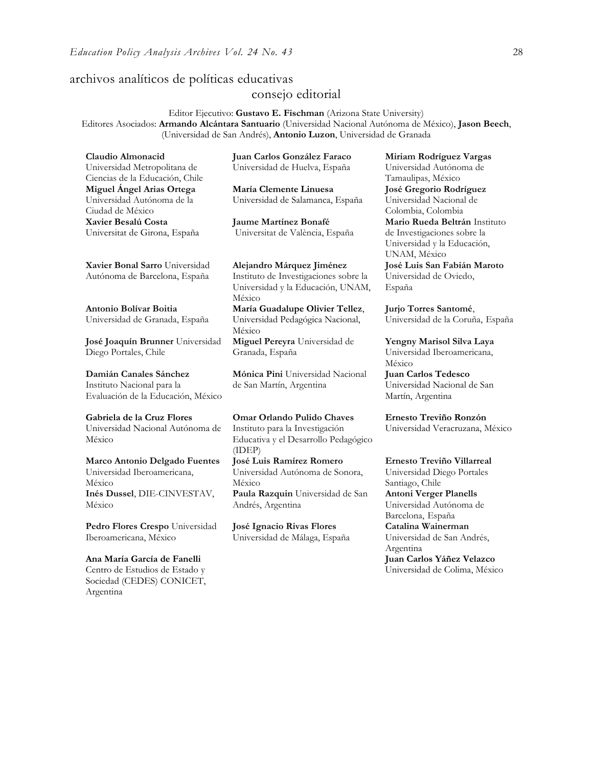## archivos analíticos de políticas educativas

### consejo editorial

Editor Ejecutivo: **Gustavo E. Fischman** (Arizona State University) Editores Asociados: **Armando Alcántara Santuario** (Universidad Nacional Autónoma de México), **Jason Beech**, (Universidad de San Andrés), **Antonio Luzon**, Universidad de Granada

| Claudio Almonacid                       | Juan Carlos González Faraco           | Miriam Rodríguez Vargas     |
|-----------------------------------------|---------------------------------------|-----------------------------|
| Universidad Metropolitana de            | Universidad de Huelva, España         | Universidad Autónoma de     |
| Ciencias de la Educación, Chile         |                                       | Tamaulipas, México          |
| Miguel Ángel Arias Ortega               | María Clemente Linuesa                | José Gregorio Rodríguez     |
| Universidad Autónoma de la              | Universidad de Salamanca, España      | Universidad Nacional de     |
| Ciudad de México                        |                                       | Colombia, Colombia          |
| Xavier Besalú Costa                     | Jaume Martínez Bonafé                 | Mario Rueda Beltrán Instit  |
| Universitat de Girona, España           | Universitat de València, España       | de Investigaciones sobre la |
|                                         |                                       | Universidad y la Educación, |
|                                         |                                       | UNAM, México                |
| Xavier Bonal Sarro Universidad          | Alejandro Márquez Jiménez             | José Luis San Fabián Maro   |
| Autónoma de Barcelona, España           | Instituto de Investigaciones sobre la | Universidad de Oviedo,      |
|                                         | Universidad y la Educación, UNAM,     | España                      |
|                                         | México                                |                             |
| Antonio Bolívar Boitia                  | María Guadalupe Olivier Tellez,       | Jurjo Torres Santomé,       |
| Universidad de Granada, España          | Universidad Pedagógica Nacional,      | Universidad de la Coruña, E |
|                                         | México                                |                             |
| <b>José Joaquín Brunner</b> Universidad | Miguel Pereyra Universidad de         | Yengny Marisol Silva Laya   |
| Diego Portales, Chile                   | Granada, España                       | Universidad Iberoamericana, |
|                                         |                                       | México                      |
| Damián Canales Sánchez                  | Mónica Pini Universidad Nacional      | <b>Juan Carlos Tedesco</b>  |
| Instituto Nacional para la              | de San Martín, Argentina              | Universidad Nacional de San |
| Evaluación de la Educación, México      |                                       | Martín, Argentina           |
|                                         |                                       |                             |
|                                         |                                       |                             |

**Gabriela de la Cruz Flores** Universidad Nacional Autónoma de México

**[Marco Antonio Delgado Fuentes](javascript:openRTWindow()** Universidad Iberoamericana, México **[Inés Dussel](javascript:openRTWindow()**, DIE-CINVESTAV, México

**[Pedro Flores Crespo](javascript:openRTWindow()** Universidad Iberoamericana, México

**Ana María García de Fanelli**  Centro de Estudios de Estado y Sociedad (CEDES) CONICET, Argentina

**Omar Orlando Pulido Chaves** Instituto para la Investigación Educativa y el Desarrollo Pedagógico (IDEP) **[José Luis Ramírez](javascript:openRTWindow() Romero**

Universidad Autónoma de Sonora, México **[Paula Razquin](javascript:openRTWindow()** Universidad de San Andrés, Argentina

**José Ignacio Rivas Flores** Universidad de Málaga, España

, México **José Gregorio Rodríguez**  d Nacional de Colombia, Colombia **da Beltrán** Instituto aciones sobre la d y la Educación, éxico **José Luis San Fabián Maroto**  d de Oviedo,

**[Jurjo Torres Santomé](javascript:openRTWindow()**, d de la Coruña, España

**Ernesto Treviño Ronzón** Universidad Veracruzana, México

**[Ernesto Treviño](javascript:openRTWindow() Villarreal** Universidad Diego Portales Santiago, Chile **[Antoni Verger Planells](javascript:openRTWindow()** Universidad Autónoma de Barcelona, España **[Catalina Wainerman](javascript:openRTWindow()** Universidad de San Andrés, Argentina **Juan Carlos Yáñez Velazco** Universidad de Colima, México